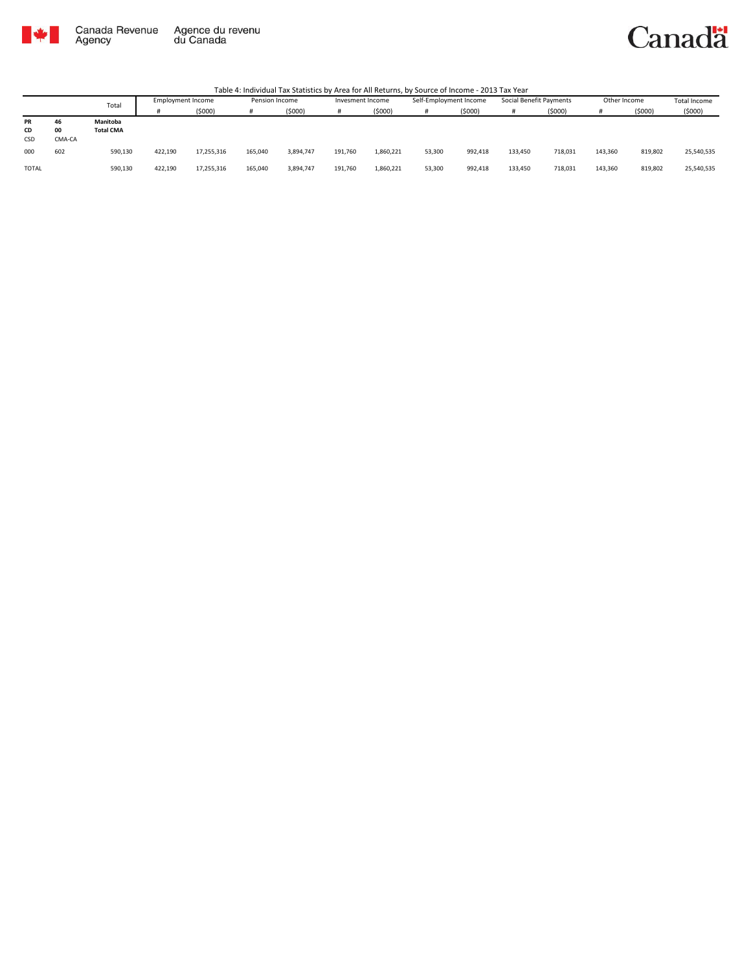

#### Canadä

|           |        | Total            | Employment Income |            | Pension Income |           | Invesment Income |           | Self-Employment Income |         | Social Benefit Payments |         | Other Income |         | Total Income |
|-----------|--------|------------------|-------------------|------------|----------------|-----------|------------------|-----------|------------------------|---------|-------------------------|---------|--------------|---------|--------------|
|           |        |                  |                   | (5000)     |                | (5000)    |                  | (5000)    |                        | (5000)  |                         | (\$000) |              | (5000)  | (5000)       |
| <b>PR</b> | 46     | Manitoba         |                   |            |                |           |                  |           |                        |         |                         |         |              |         |              |
| CD        | 00     | <b>Total CMA</b> |                   |            |                |           |                  |           |                        |         |                         |         |              |         |              |
| CSD       | CMA-CA |                  |                   |            |                |           |                  |           |                        |         |                         |         |              |         |              |
| 000       | 602    | 590,130          | 422.190           | 17,255,316 | 165,040        | 3,894,747 | 191,760          | 1,860,221 | 53,300                 | 992.418 | 133.450                 | 718,031 | 143,360      | 819,802 | 25,540,535   |
| TOTAL     |        | 590,130          | 422,190           | 17,255,316 | 165,040        | 3,894,747 | 191,760          | 1,860,221 | 53,300                 | 992,418 | 133,450                 | 718,031 | 143,360      | 819,802 | 25,540,535   |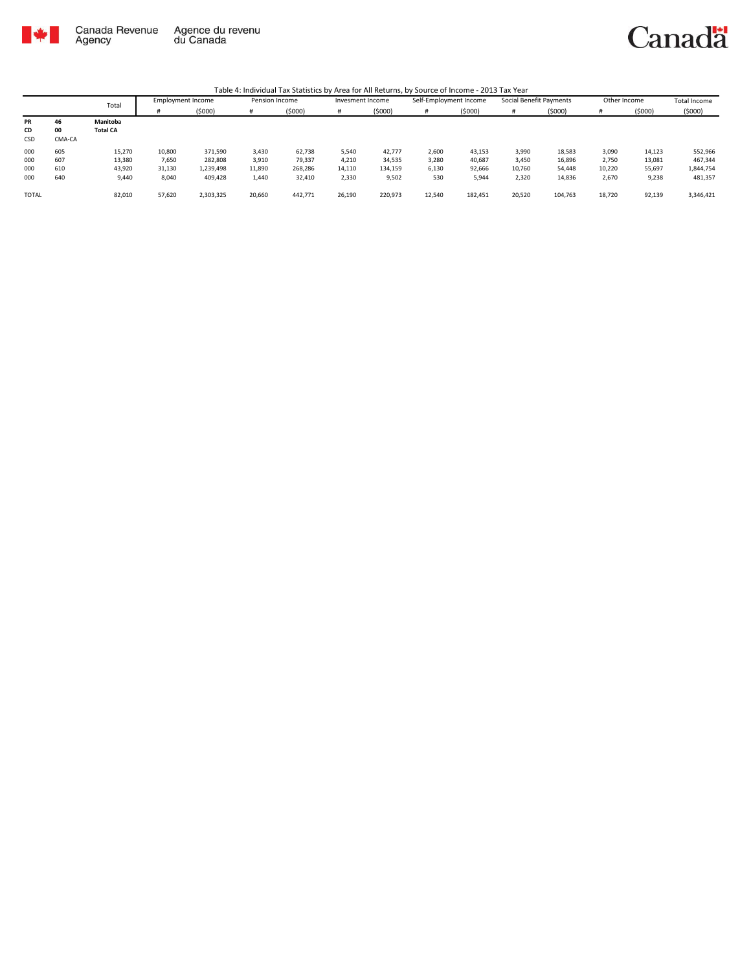

|              |        | Total           | Employment Income |           | Pension Income |         | Invesment Income |         | Self-Employment Income |         | Social Benefit Payments |         | Other Income |        | <b>Total Income</b> |
|--------------|--------|-----------------|-------------------|-----------|----------------|---------|------------------|---------|------------------------|---------|-------------------------|---------|--------------|--------|---------------------|
|              |        |                 |                   | (5000)    | #              | (5000)  |                  | (5000)  | #                      | (5000)  |                         | (5000)  |              | (5000) | (5000)              |
| PR           | 46     | Manitoba        |                   |           |                |         |                  |         |                        |         |                         |         |              |        |                     |
| CD           | 00     | <b>Total CA</b> |                   |           |                |         |                  |         |                        |         |                         |         |              |        |                     |
| CSD          | CMA-CA |                 |                   |           |                |         |                  |         |                        |         |                         |         |              |        |                     |
| 000          | 605    | 15,270          | 10,800            | 371,590   | 3,430          | 62,738  | 5,540            | 42,777  | 2,600                  | 43,153  | 3,990                   | 18,583  | 3,090        | 14,123 | 552,966             |
| 000          | 607    | 13,380          | 7,650             | 282,808   | 3,910          | 79,337  | 4,210            | 34,535  | 3,280                  | 40,687  | 3,450                   | 16,896  | 2,750        | 13,081 | 467,344             |
| 000          | 610    | 43,920          | 31,130            | 1,239,498 | 11,890         | 268,286 | 14,110           | 134,159 | 6,130                  | 92,666  | 10,760                  | 54,448  | 10,220       | 55,697 | 1,844,754           |
| 000          | 640    | 9,440           | 8,040             | 409.428   | 1,440          | 32,410  | 2,330            | 9,502   | 530                    | 5,944   | 2,320                   | 14,836  | 2,670        | 9,238  | 481,357             |
|              |        |                 |                   |           |                |         |                  |         |                        |         |                         |         |              |        |                     |
| <b>TOTAL</b> |        | 82,010          | 57,620            | 2,303,325 | 20,660         | 442,771 | 26,190           | 220,973 | 12,540                 | 182,451 | 20,520                  | 104,763 | 18,720       | 92,139 | 3,346,421           |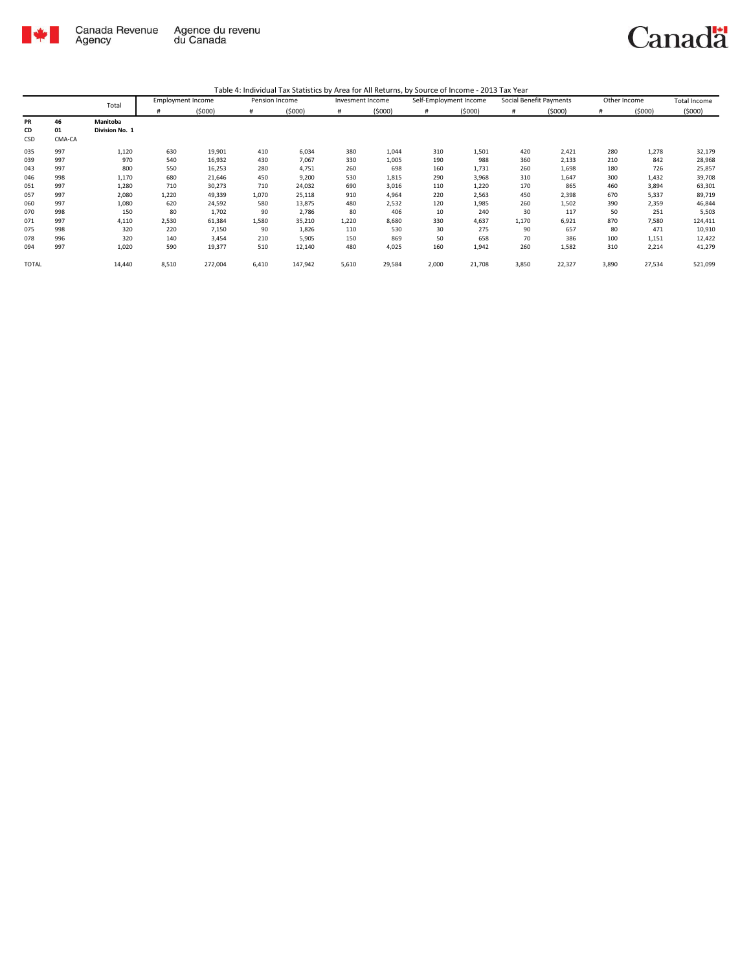

|       |        | Total          | <b>Employment Income</b> |         | Pension Income |         | Invesment Income |        | Self-Employment Income |        | Social Benefit Payments |        | Other Income |        | Total Income |
|-------|--------|----------------|--------------------------|---------|----------------|---------|------------------|--------|------------------------|--------|-------------------------|--------|--------------|--------|--------------|
|       |        |                | #                        | (5000)  | #              | (5000)  |                  | (5000) | #                      | (5000) | #                       | (5000) |              | (5000) | (5000)       |
| PR    | 46     | Manitoba       |                          |         |                |         |                  |        |                        |        |                         |        |              |        |              |
| CD    | 01     | Division No. 1 |                          |         |                |         |                  |        |                        |        |                         |        |              |        |              |
| CSD   | CMA-CA |                |                          |         |                |         |                  |        |                        |        |                         |        |              |        |              |
| 035   | 997    | 1,120          | 630                      | 19,901  | 410            | 6,034   | 380              | 1,044  | 310                    | 1,501  | 420                     | 2,421  | 280          | 1,278  | 32,179       |
| 039   | 997    | 970            | 540                      | 16,932  | 430            | 7,067   | 330              | 1,005  | 190                    | 988    | 360                     | 2,133  | 210          | 842    | 28,968       |
| 043   | 997    | 800            | 550                      | 16,253  | 280            | 4,751   | 260              | 698    | 160                    | 1,731  | 260                     | 1,698  | 180          | 726    | 25,857       |
| 046   | 998    | 1,170          | 680                      | 21,646  | 450            | 9,200   | 530              | 1,815  | 290                    | 3,968  | 310                     | 1,647  | 300          | 1,432  | 39,708       |
| 051   | 997    | 1,280          | 710                      | 30,273  | 710            | 24,032  | 690              | 3,016  | 110                    | 1,220  | 170                     | 865    | 460          | 3,894  | 63,301       |
| 057   | 997    | 2,080          | 1,220                    | 49,339  | 1,070          | 25,118  | 910              | 4,964  | 220                    | 2,563  | 450                     | 2,398  | 670          | 5,337  | 89,719       |
| 060   | 997    | 1,080          | 620                      | 24,592  | 580            | 13,875  | 480              | 2,532  | 120                    | 1,985  | 260                     | 1,502  | 390          | 2,359  | 46,844       |
| 070   | 998    | 150            | 80                       | 1,702   | 90             | 2,786   | 80               | 406    | 10                     | 240    | 30                      | 117    | 50           | 251    | 5,503        |
| 071   | 997    | 4,110          | 2,530                    | 61,384  | 1,580          | 35,210  | 1,220            | 8,680  | 330                    | 4,637  | 1,170                   | 6,921  | 870          | 7,580  | 124,411      |
| 075   | 998    | 320            | 220                      | 7,150   | 90             | 1,826   | 110              | 530    | 30                     | 275    | 90                      | 657    | 80           | 471    | 10,910       |
| 078   | 996    | 320            | 140                      | 3,454   | 210            | 5,905   | 150              | 869    | 50                     | 658    | 70                      | 386    | 100          | 1,151  | 12,422       |
| 094   | 997    | 1,020          | 590                      | 19,377  | 510            | 12,140  | 480              | 4,025  | 160                    | 1,942  | 260                     | 1,582  | 310          | 2,214  | 41,279       |
| TOTAL |        | 14,440         | 8,510                    | 272,004 | 6,410          | 147,942 | 5,610            | 29,584 | 2,000                  | 21,708 | 3,850                   | 22,327 | 3,890        | 27,534 | 521,099      |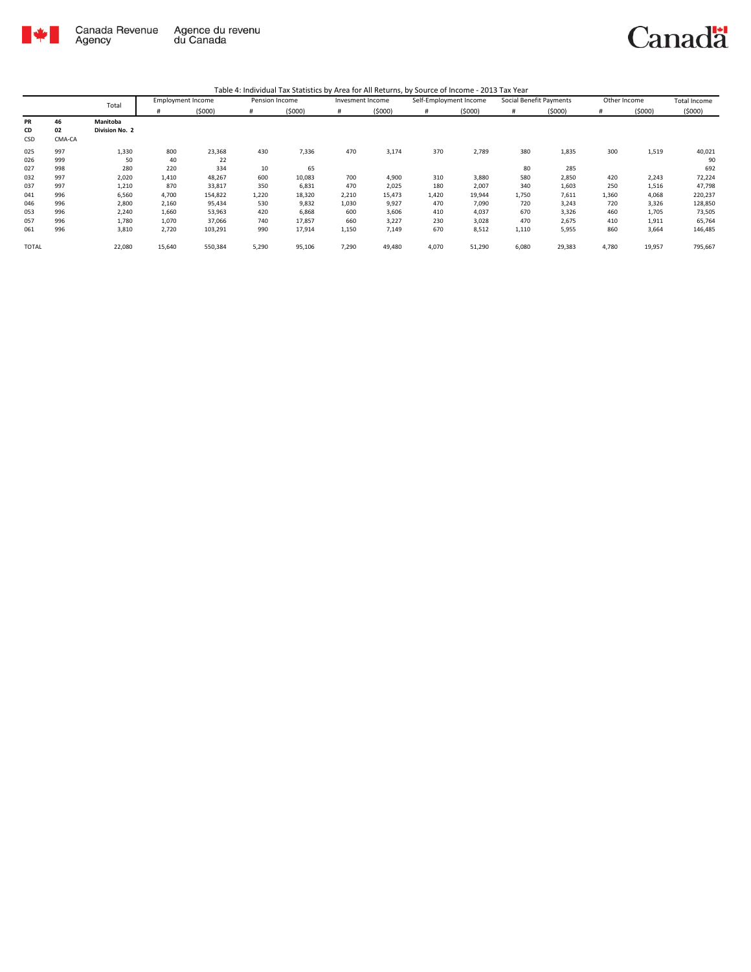

|--|

|                 |                    | Total                      | <b>Employment Income</b> |                   | Pension Income | $10000$ $\ldots$ $1000000$ $\ldots$ $10000000$ $\ldots$ $100000$ $\ldots$ $100000$ $\ldots$ | Invesment Income |                 | Self-Employment Income |                 | Social Benefit Payments |                | Other Income |                | Total Income       |
|-----------------|--------------------|----------------------------|--------------------------|-------------------|----------------|---------------------------------------------------------------------------------------------|------------------|-----------------|------------------------|-----------------|-------------------------|----------------|--------------|----------------|--------------------|
|                 |                    |                            | Ħ                        | (5000)            | $\#$           | (5000)                                                                                      | #                | (5000)          | #                      | (5000)          | #                       | (5000)         | #            | (5000)         | (5000)             |
| PR<br>CD<br>CSD | 46<br>02<br>CMA-CA | Manitoba<br>Division No. 2 |                          |                   |                |                                                                                             |                  |                 |                        |                 |                         |                |              |                |                    |
| 025<br>026      | 997<br>999         | 1,330<br>50                | 800<br>40                | 23,368<br>22      | 430            | 7,336                                                                                       | 470              | 3,174           | 370                    | 2,789           | 380                     | 1,835          | 300          | 1,519          | 40,021<br>90       |
| 027             | 998<br>997         | 280<br>2,020               | 220                      | 334               | 10<br>600      | 65                                                                                          | 700              | 4,900           | 310                    |                 | 80<br>580               | 285            | 420          | 2,243          | 692                |
| 032<br>037      | 997                | 1,210                      | 1,410<br>870             | 48,267<br>33,817  | 350            | 10,083<br>6,831                                                                             | 470              | 2,025           | 180                    | 3,880<br>2,007  | 340                     | 2,850<br>1,603 | 250          | 1,516          | 72,224<br>47,798   |
| 041<br>046      | 996<br>996         | 6,560<br>2,800             | 4,700<br>2,160           | 154,822<br>95,434 | 1,220<br>530   | 18,320<br>9,832                                                                             | 2,210<br>1,030   | 15,473<br>9,927 | 1,420<br>470           | 19,944<br>7,090 | 1,750<br>720            | 7,611<br>3,243 | 1,360<br>720 | 4,068<br>3,326 | 220,237<br>128,850 |
| 053             | 996                | 2,240                      | 1,660                    | 53,963            | 420            | 6,868                                                                                       | 600              | 3,606           | 410                    | 4,037           | 670                     | 3,326          | 460          | 1,705          | 73,505             |
| 057<br>061      | 996<br>996         | 1,780<br>3,810             | 1,070<br>2,720           | 37,066<br>103,291 | 740<br>990     | 17,857<br>17,914                                                                            | 660<br>1,150     | 3,227<br>7,149  | 230<br>670             | 3,028<br>8,512  | 470<br>1,110            | 2,675<br>5,955 | 410<br>860   | 1,911<br>3,664 | 65,764<br>146,485  |
| <b>TOTAL</b>    |                    | 22,080                     | 15,640                   | 550,384           | 5,290          | 95,106                                                                                      | 7,290            | 49,480          | 4,070                  | 51,290          | 6,080                   | 29,383         | 4,780        | 19,957         | 795,667            |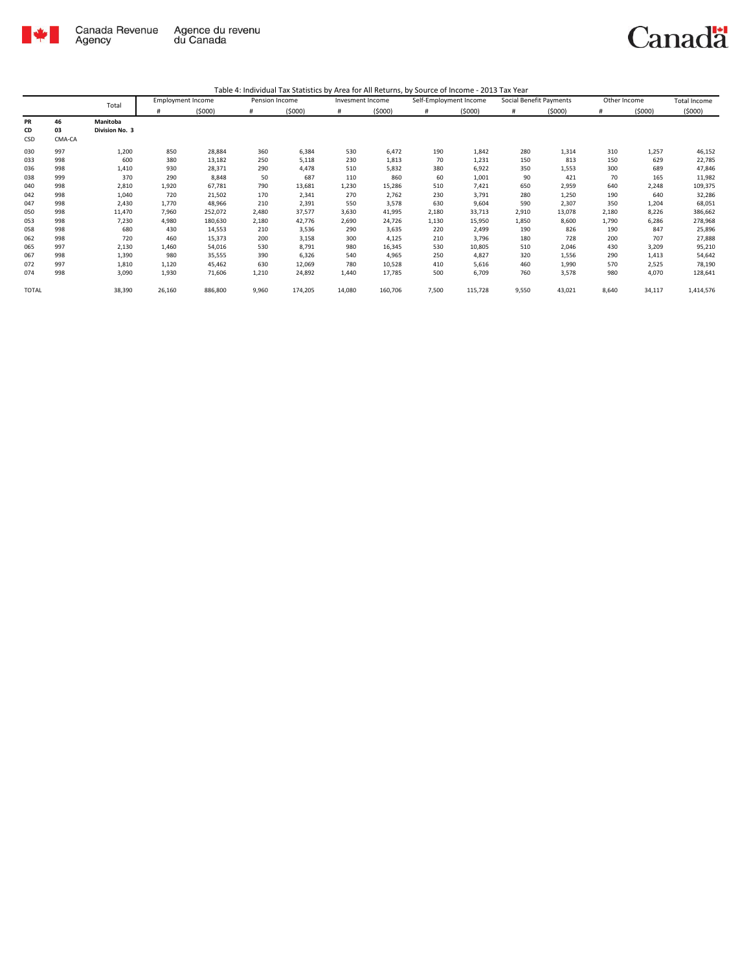

| Table 4: Individual Tax Statistics by Area for All Returns, by Source of Income - 2013 Tax Year |
|-------------------------------------------------------------------------------------------------|
|                                                                                                 |

|              |        | Total          | <b>Employment Income</b> |         | Pension Income |         | Invesment Income |         | Self-Employment Income |         |       | Social Benefit Payments | Other Income |        | <b>Total Income</b> |
|--------------|--------|----------------|--------------------------|---------|----------------|---------|------------------|---------|------------------------|---------|-------|-------------------------|--------------|--------|---------------------|
|              |        |                |                          | (5000)  | #              | (5000)  | #                | (5000)  | #                      | (5000)  | #     | (5000)                  |              | (5000) | (5000)              |
| PR           | 46     | Manitoba       |                          |         |                |         |                  |         |                        |         |       |                         |              |        |                     |
| CD           | 03     | Division No. 3 |                          |         |                |         |                  |         |                        |         |       |                         |              |        |                     |
| CSD          | CMA-CA |                |                          |         |                |         |                  |         |                        |         |       |                         |              |        |                     |
| 030          | 997    | 1,200          | 850                      | 28,884  | 360            | 6,384   | 530              | 6,472   | 190                    | 1,842   | 280   | 1,314                   | 310          | 1,257  | 46,152              |
| 033          | 998    | 600            | 380                      | 13,182  | 250            | 5,118   | 230              | 1,813   | 70                     | 1,231   | 150   | 813                     | 150          | 629    | 22,785              |
| 036          | 998    | 1,410          | 930                      | 28,371  | 290            | 4,478   | 510              | 5,832   | 380                    | 6,922   | 350   | 1,553                   | 300          | 689    | 47,846              |
| 038          | 999    | 370            | 290                      | 8,848   | 50             | 687     | 110              | 860     | 60                     | 1,001   | 90    | 421                     | 70           | 165    | 11,982              |
| 040          | 998    | 2,810          | 1,920                    | 67,781  | 790            | 13,681  | 1,230            | 15,286  | 510                    | 7,421   | 650   | 2,959                   | 640          | 2,248  | 109,375             |
| 042          | 998    | 1,040          | 720                      | 21,502  | 170            | 2,341   | 270              | 2,762   | 230                    | 3,791   | 280   | 1,250                   | 190          | 640    | 32,286              |
| 047          | 998    | 2,430          | 1,770                    | 48,966  | 210            | 2,391   | 550              | 3,578   | 630                    | 9,604   | 590   | 2,307                   | 350          | 1,204  | 68,051              |
| 050          | 998    | 11,470         | 7,960                    | 252,072 | 2,480          | 37,577  | 3,630            | 41,995  | 2,180                  | 33,713  | 2,910 | 13,078                  | 2,180        | 8,226  | 386,662             |
| 053          | 998    | 7,230          | 4,980                    | 180,630 | 2,180          | 42,776  | 2,690            | 24,726  | 1,130                  | 15,950  | 1,850 | 8,600                   | 1,790        | 6,286  | 278,968             |
| 058          | 998    | 680            | 430                      | 14,553  | 210            | 3,536   | 290              | 3,635   | 220                    | 2,499   | 190   | 826                     | 190          | 847    | 25,896              |
| 062          | 998    | 720            | 460                      | 15,373  | 200            | 3,158   | 300              | 4,125   | 210                    | 3,796   | 180   | 728                     | 200          | 707    | 27,888              |
| 065          | 997    | 2,130          | 1,460                    | 54,016  | 530            | 8,791   | 980              | 16,345  | 530                    | 10,805  | 510   | 2,046                   | 430          | 3,209  | 95,210              |
| 067          | 998    | 1,390          | 980                      | 35,555  | 390            | 6,326   | 540              | 4,965   | 250                    | 4,827   | 320   | 1,556                   | 290          | 1,413  | 54,642              |
| 072          | 997    | 1,810          | 1,120                    | 45,462  | 630            | 12,069  | 780              | 10,528  | 410                    | 5,616   | 460   | 1,990                   | 570          | 2,525  | 78,190              |
| 074          | 998    | 3,090          | 1,930                    | 71,606  | 1,210          | 24,892  | 1,440            | 17,785  | 500                    | 6,709   | 760   | 3,578                   | 980          | 4,070  | 128,641             |
| <b>TOTAL</b> |        | 38,390         | 26,160                   | 886,800 | 9,960          | 174,205 | 14,080           | 160,706 | 7,500                  | 115,728 | 9,550 | 43,021                  | 8,640        | 34,117 | 1,414,576           |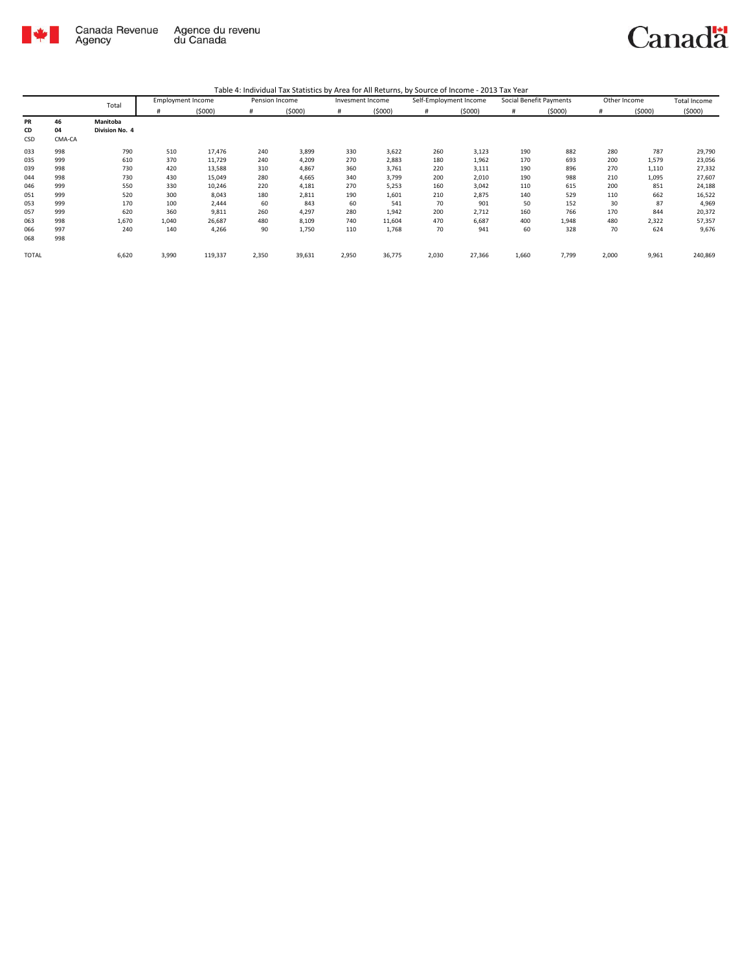

| Table 4: Individual Tax Statistics by Area for All Returns, by Source of Income - 2013 Tax Year |  |  |
|-------------------------------------------------------------------------------------------------|--|--|
|                                                                                                 |  |  |

|       |        | Total          |       | <b>Employment Income</b> | Pension Income |        | Invesment Income |        | Self-Employment Income |        | Social Benefit Payments |        | Other Income |        | <b>Total Income</b> |
|-------|--------|----------------|-------|--------------------------|----------------|--------|------------------|--------|------------------------|--------|-------------------------|--------|--------------|--------|---------------------|
|       |        |                | #     | (5000)                   | #              | (5000) | #                | (5000) | #                      | (5000) | #                       | (5000) | #            | (5000) | (5000)              |
| PR    | 46     | Manitoba       |       |                          |                |        |                  |        |                        |        |                         |        |              |        |                     |
| CD    | 04     | Division No. 4 |       |                          |                |        |                  |        |                        |        |                         |        |              |        |                     |
| CSD   | CMA-CA |                |       |                          |                |        |                  |        |                        |        |                         |        |              |        |                     |
| 033   | 998    | 790            | 510   | 17,476                   | 240            | 3,899  | 330              | 3,622  | 260                    | 3,123  | 190                     | 882    | 280          | 787    | 29,790              |
| 035   | 999    | 610            | 370   | 11,729                   | 240            | 4,209  | 270              | 2,883  | 180                    | 1,962  | 170                     | 693    | 200          | 1,579  | 23,056              |
| 039   | 998    | 730            | 420   | 13,588                   | 310            | 4,867  | 360              | 3,761  | 220                    | 3,111  | 190                     | 896    | 270          | 1,110  | 27,332              |
| 044   | 998    | 730            | 430   | 15,049                   | 280            | 4,665  | 340              | 3,799  | 200                    | 2,010  | 190                     | 988    | 210          | 1,095  | 27,607              |
| 046   | 999    | 550            | 330   | 10,246                   | 220            | 4,181  | 270              | 5,253  | 160                    | 3,042  | 110                     | 615    | 200          | 851    | 24,188              |
| 051   | 999    | 520            | 300   | 8,043                    | 180            | 2,811  | 190              | 1,601  | 210                    | 2,875  | 140                     | 529    | 110          | 662    | 16,522              |
| 053   | 999    | 170            | 100   | 2,444                    | 60             | 843    | 60               | 541    | 70                     | 901    | 50                      | 152    | 30           | 87     | 4,969               |
| 057   | 999    | 620            | 360   | 9,811                    | 260            | 4,297  | 280              | 1,942  | 200                    | 2,712  | 160                     | 766    | 170          | 844    | 20,372              |
| 063   | 998    | 1,670          | 1,040 | 26,687                   | 480            | 8,109  | 740              | 11,604 | 470                    | 6,687  | 400                     | 1,948  | 480          | 2,322  | 57,357              |
| 066   | 997    | 240            | 140   | 4,266                    | 90             | 1,750  | 110              | 1,768  | 70                     | 941    | 60                      | 328    | 70           | 624    | 9,676               |
| 068   | 998    |                |       |                          |                |        |                  |        |                        |        |                         |        |              |        |                     |
| TOTAL |        | 6,620          | 3,990 | 119,337                  | 2,350          | 39,631 | 2,950            | 36,775 | 2,030                  | 27,366 | 1,660                   | 7,799  | 2,000        | 9,961  | 240,869             |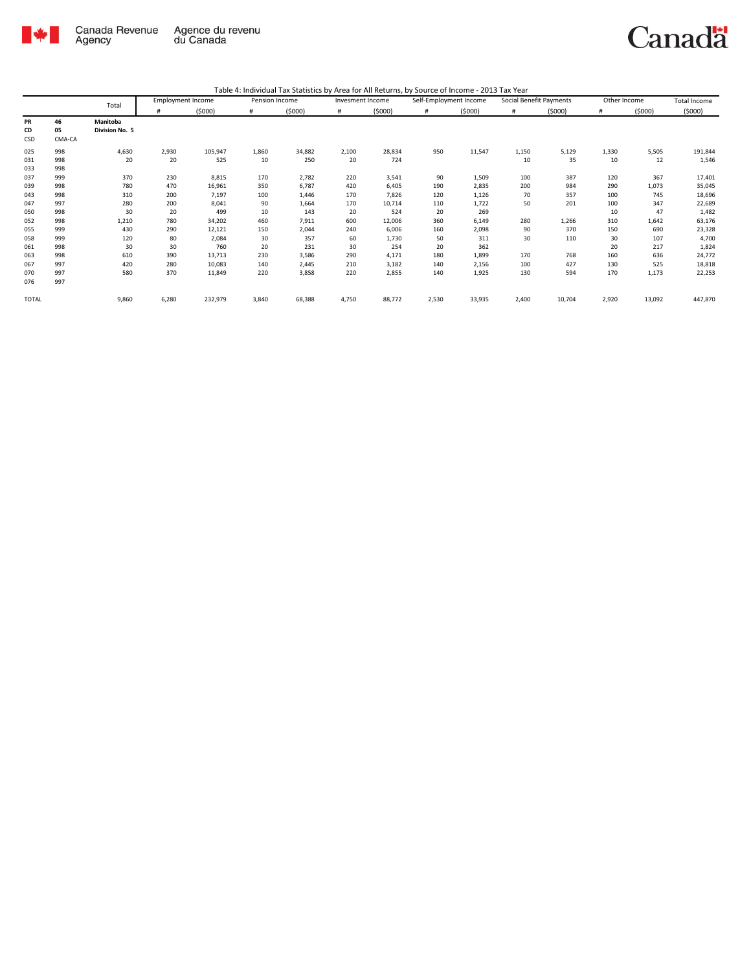

|       |        |                |       | <b>Employment Income</b> | Pension Income |        | Invesment Income |        | Self-Employment Income |        | Social Benefit Payments |        | Other Income |        | <b>Total Income</b> |
|-------|--------|----------------|-------|--------------------------|----------------|--------|------------------|--------|------------------------|--------|-------------------------|--------|--------------|--------|---------------------|
|       |        | Total          |       | (5000)                   | #              | (5000) | #                | (5000) | #                      | (5000) | #                       | (5000) | #            | (5000) | (5000)              |
| PR    | 46     | Manitoba       |       |                          |                |        |                  |        |                        |        |                         |        |              |        |                     |
| CD    | 05     | Division No. 5 |       |                          |                |        |                  |        |                        |        |                         |        |              |        |                     |
| CSD   | CMA-CA |                |       |                          |                |        |                  |        |                        |        |                         |        |              |        |                     |
| 025   | 998    | 4,630          | 2,930 | 105,947                  | 1,860          | 34,882 | 2,100            | 28,834 | 950                    | 11,547 | 1,150                   | 5,129  | 1,330        | 5,505  | 191,844             |
| 031   | 998    | 20             | 20    | 525                      | 10             | 250    | 20               | 724    |                        |        | 10                      | 35     | 10           | 12     | 1,546               |
| 033   | 998    |                |       |                          |                |        |                  |        |                        |        |                         |        |              |        |                     |
| 037   | 999    | 370            | 230   | 8,815                    | 170            | 2,782  | 220              | 3,541  | 90                     | 1,509  | 100                     | 387    | 120          | 367    | 17,401              |
| 039   | 998    | 780            | 470   | 16,961                   | 350            | 6,787  | 420              | 6,405  | 190                    | 2,835  | 200                     | 984    | 290          | 1,073  | 35,045              |
| 043   | 998    | 310            | 200   | 7,197                    | 100            | 1,446  | 170              | 7,826  | 120                    | 1,126  | 70                      | 357    | 100          | 745    | 18,696              |
| 047   | 997    | 280            | 200   | 8,041                    | 90             | 1,664  | 170              | 10,714 | 110                    | 1,722  | 50                      | 201    | 100          | 347    | 22,689              |
| 050   | 998    | 30             | 20    | 499                      | 10             | 143    | 20               | 524    | 20                     | 269    |                         |        | 10           | 47     | 1,482               |
| 052   | 998    | 1,210          | 780   | 34,202                   | 460            | 7,911  | 600              | 12,006 | 360                    | 6,149  | 280                     | 1,266  | 310          | 1,642  | 63,176              |
| 055   | 999    | 430            | 290   | 12,121                   | 150            | 2,044  | 240              | 6,006  | 160                    | 2,098  | 90                      | 370    | 150          | 690    | 23,328              |
| 058   | 999    | 120            | 80    | 2,084                    | 30             | 357    | 60               | 1,730  | 50                     | 311    | 30                      | 110    | 30           | 107    | 4,700               |
| 061   | 998    | 30             | 30    | 760                      | 20             | 231    | 30               | 254    | 20                     | 362    |                         |        | 20           | 217    | 1,824               |
| 063   | 998    | 610            | 390   | 13,713                   | 230            | 3,586  | 290              | 4,171  | 180                    | 1,899  | 170                     | 768    | 160          | 636    | 24,772              |
| 067   | 997    | 420            | 280   | 10,083                   | 140            | 2,445  | 210              | 3,182  | 140                    | 2,156  | 100                     | 427    | 130          | 525    | 18,818              |
| 070   | 997    | 580            | 370   | 11,849                   | 220            | 3,858  | 220              | 2,855  | 140                    | 1,925  | 130                     | 594    | 170          | 1,173  | 22,253              |
| 076   | 997    |                |       |                          |                |        |                  |        |                        |        |                         |        |              |        |                     |
| TOTAL |        | 9,860          | 6,280 | 232,979                  | 3,840          | 68,388 | 4,750            | 88,772 | 2,530                  | 33,935 | 2,400                   | 10,704 | 2,920        | 13,092 | 447,870             |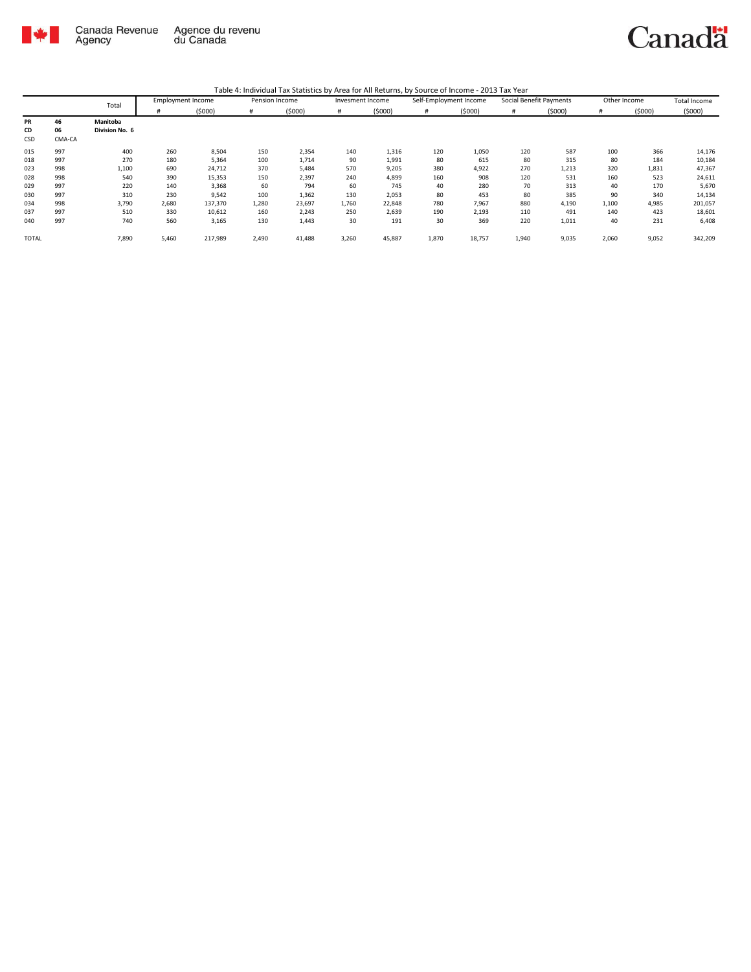

|              |        | Total          | <b>Employment Income</b> |         | Pension Income |        | Invesment Income |        | Self-Employment Income |        | Social Benefit Payments |        | Other Income |        | <b>Total Income</b> |
|--------------|--------|----------------|--------------------------|---------|----------------|--------|------------------|--------|------------------------|--------|-------------------------|--------|--------------|--------|---------------------|
|              |        |                | #                        | (5000)  | #              | (5000) | #                | (5000) | #                      | (5000) | #                       | (5000) |              | (5000) | (5000)              |
| PR           | 46     | Manitoba       |                          |         |                |        |                  |        |                        |        |                         |        |              |        |                     |
| CD           | 06     | Division No. 6 |                          |         |                |        |                  |        |                        |        |                         |        |              |        |                     |
| CSD          | CMA-CA |                |                          |         |                |        |                  |        |                        |        |                         |        |              |        |                     |
| 015          | 997    | 400            | 260                      | 8,504   | 150            | 2,354  | 140              | 1,316  | 120                    | 1,050  | 120                     | 587    | 100          | 366    | 14,176              |
| 018          | 997    | 270            | 180                      | 5,364   | 100            | 1,714  | 90               | 1,991  | 80                     | 615    | 80                      | 315    | 80           | 184    | 10,184              |
| 023          | 998    | 1,100          | 690                      | 24,712  | 370            | 5,484  | 570              | 9,205  | 380                    | 4,922  | 270                     | 1,213  | 320          | 1,831  | 47,367              |
| 028          | 998    | 540            | 390                      | 15,353  | 150            | 2,397  | 240              | 4,899  | 160                    | 908    | 120                     | 531    | 160          | 523    | 24,611              |
| 029          | 997    | 220            | 140                      | 3,368   | 60             | 794    | 60               | 745    | 40                     | 280    | 70                      | 313    | 40           | 170    | 5,670               |
| 030          | 997    | 310            | 230                      | 9,542   | 100            | 1,362  | 130              | 2,053  | 80                     | 453    | 80                      | 385    | 90           | 340    | 14,134              |
| 034          | 998    | 3,790          | 2,680                    | 137,370 | 1,280          | 23,697 | 1,760            | 22,848 | 780                    | 7,967  | 880                     | 4,190  | 1,100        | 4,985  | 201,057             |
| 037          | 997    | 510            | 330                      | 10,612  | 160            | 2,243  | 250              | 2,639  | 190                    | 2,193  | 110                     | 491    | 140          | 423    | 18,601              |
| 040          | 997    | 740            | 560                      | 3,165   | 130            | 1,443  | 30               | 191    | 30                     | 369    | 220                     | 1,011  | 40           | 231    | 6,408               |
| <b>TOTAL</b> |        | 7,890          | 5,460                    | 217,989 | 2,490          | 41,488 | 3,260            | 45,887 | 1,870                  | 18,757 | 1,940                   | 9,035  | 2,060        | 9,052  | 342,209             |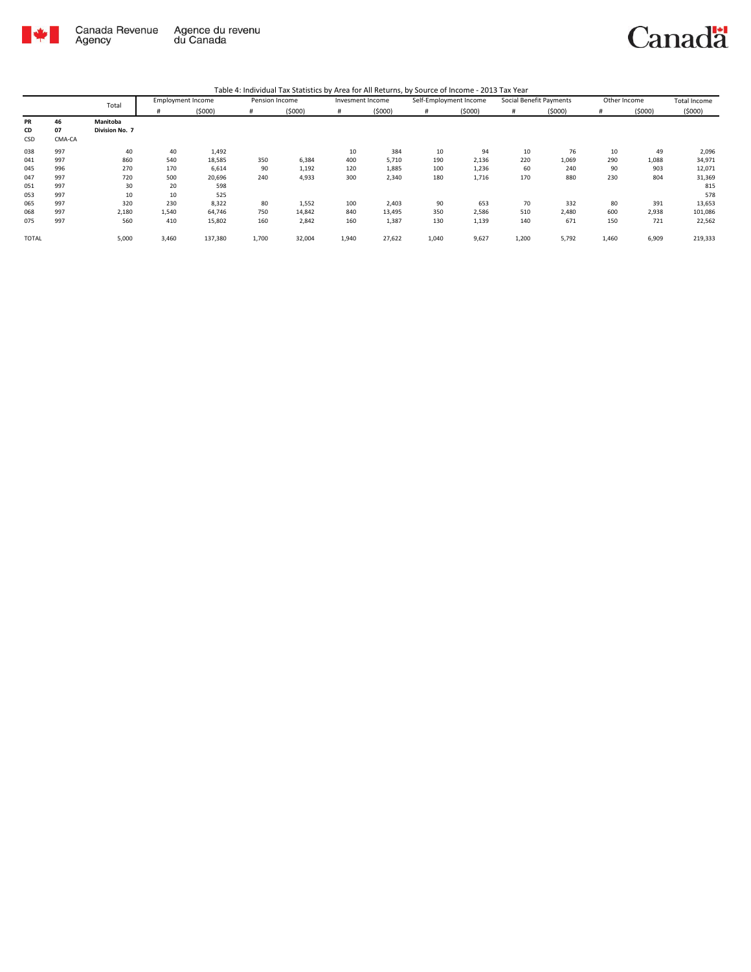

|              |        | Total          | <b>Employment Income</b> |         | Pension Income |        | Invesment Income |        | Self-Employment Income |        | Social Benefit Payments |        | Other Income |        | <b>Total Income</b> |
|--------------|--------|----------------|--------------------------|---------|----------------|--------|------------------|--------|------------------------|--------|-------------------------|--------|--------------|--------|---------------------|
|              |        |                | #                        | (5000)  | #              | (5000) | #                | (5000) | #                      | (5000) | #                       | (5000) | #            | (5000) | (5000)              |
| PR           | 46     | Manitoba       |                          |         |                |        |                  |        |                        |        |                         |        |              |        |                     |
| CD           | 07     | Division No. 7 |                          |         |                |        |                  |        |                        |        |                         |        |              |        |                     |
| CSD          | CMA-CA |                |                          |         |                |        |                  |        |                        |        |                         |        |              |        |                     |
| 038          | 997    | 40             | 40                       | 1,492   |                |        | 10               | 384    | 10                     | 94     | 10                      | 76     | 10           | 49     | 2,096               |
| 041          | 997    | 860            | 540                      | 18,585  | 350            | 6,384  | 400              | 5,710  | 190                    | 2,136  | 220                     | 1,069  | 290          | 1,088  | 34,971              |
| 045          | 996    | 270            | 170                      | 6,614   | 90             | 1,192  | 120              | 1,885  | 100                    | 1,236  | 60                      | 240    | 90           | 903    | 12,071              |
| 047          | 997    | 720            | 500                      | 20,696  | 240            | 4,933  | 300              | 2,340  | 180                    | 1,716  | 170                     | 880    | 230          | 804    | 31,369              |
| 051          | 997    | 30             | 20                       | 598     |                |        |                  |        |                        |        |                         |        |              |        | 815                 |
| 053          | 997    | 10             | 10                       | 525     |                |        |                  |        |                        |        |                         |        |              |        | 578                 |
| 065          | 997    | 320            | 230                      | 8,322   | 80             | 1,552  | 100              | 2,403  | 90                     | 653    | 70                      | 332    | 80           | 391    | 13,653              |
| 068          | 997    | 2,180          | 1,540                    | 64,746  | 750            | 14,842 | 840              | 13,495 | 350                    | 2,586  | 510                     | 2,480  | 600          | 2,938  | 101,086             |
| 075          | 997    | 560            | 410                      | 15,802  | 160            | 2,842  | 160              | 1,387  | 130                    | 1,139  | 140                     | 671    | 150          | 721    | 22,562              |
| <b>TOTAL</b> |        | 5,000          | 3,460                    | 137,380 | 1,700          | 32,004 | 1,940            | 27,622 | 1,040                  | 9,627  | 1,200                   | 5,792  | 1,460        | 6,909  | 219,333             |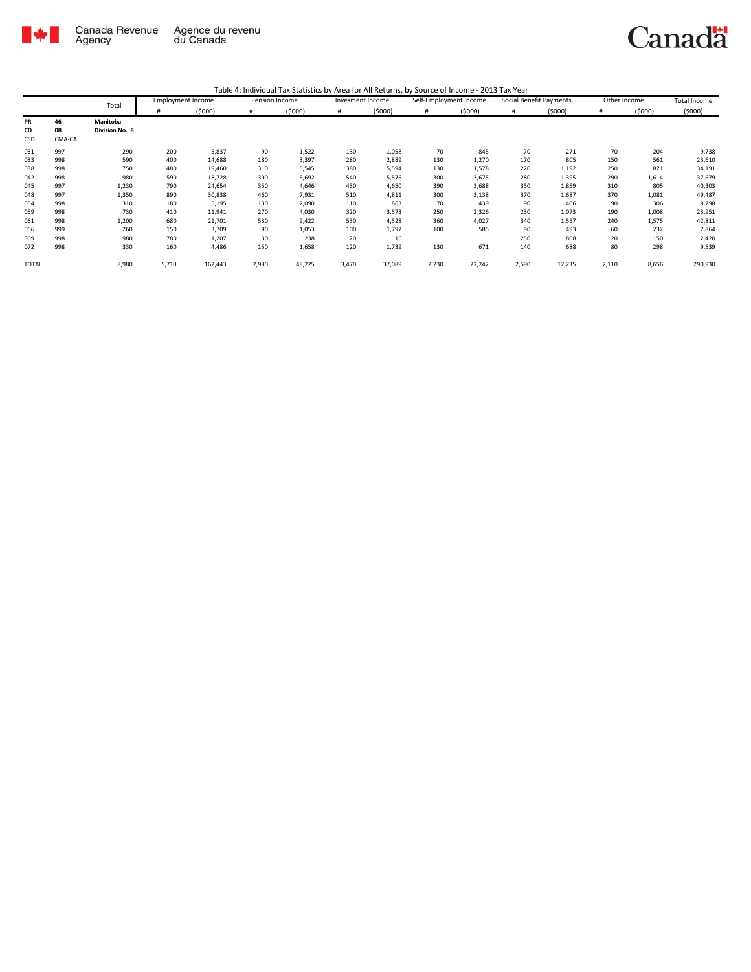

|              |        | Total           | <b>Employment Income</b> |         | Pension Income |        | Invesment Income |        | Self-Employment Income |        | Social Benefit Payments |        | Other Income |        | Total Income |
|--------------|--------|-----------------|--------------------------|---------|----------------|--------|------------------|--------|------------------------|--------|-------------------------|--------|--------------|--------|--------------|
|              |        |                 | #                        | (5000)  | #              | (5000) | #                | (5000) | #                      | (5000) | #                       | (5000) | #            | (5000) | (5000)       |
| <b>PR</b>    | 46     | <b>Manitoba</b> |                          |         |                |        |                  |        |                        |        |                         |        |              |        |              |
| CD           | 08     | Division No. 8  |                          |         |                |        |                  |        |                        |        |                         |        |              |        |              |
| CSD          | CMA-CA |                 |                          |         |                |        |                  |        |                        |        |                         |        |              |        |              |
| 031          | 997    | 290             | 200                      | 5,837   | 90             | 1,522  | 130              | 1,058  | 70                     | 845    | 70                      | 271    | 70           | 204    | 9,738        |
| 033          | 998    | 590             | 400                      | 14,688  | 180            | 3,397  | 280              | 2,889  | 130                    | 1,270  | 170                     | 805    | 150          | 561    | 23,610       |
| 038          | 998    | 750             | 480                      | 19,460  | 310            | 5,545  | 380              | 5,594  | 130                    | 1,578  | 220                     | 1,192  | 250          | 821    | 34,191       |
| 042          | 998    | 980             | 590                      | 18,728  | 390            | 6,692  | 540              | 5,576  | 300                    | 3,675  | 280                     | 1,395  | 290          | 1,614  | 37,679       |
| 045          | 997    | 1,230           | 790                      | 24,654  | 350            | 4,646  | 430              | 4,650  | 390                    | 3,688  | 350                     | 1,859  | 310          | 805    | 40,303       |
| 048          | 997    | 1,350           | 890                      | 30,838  | 460            | 7,931  | 510              | 4,811  | 300                    | 3,138  | 370                     | 1,687  | 370          | 1,081  | 49,487       |
| 054          | 998    | 310             | 180                      | 5,195   | 130            | 2,090  | 110              | 863    | 70                     | 439    | 90                      | 406    | 90           | 306    | 9,298        |
| 059          | 998    | 730             | 410                      | 11,941  | 270            | 4,030  | 320              | 3,573  | 250                    | 2,326  | 230                     | 1,073  | 190          | 1,008  | 23,951       |
| 061          | 998    | 1,200           | 680                      | 21,701  | 530            | 9,422  | 530              | 4,528  | 360                    | 4,027  | 340                     | 1,557  | 240          | 1,575  | 42,811       |
| 066          | 999    | 260             | 150                      | 3,709   | 90             | 1,053  | 100              | 1,792  | 100                    | 585    | 90                      | 493    | 60           | 232    | 7,864        |
| 069          | 998    | 980             | 780                      | 1,207   | 30             | 238    | 20               | 16     |                        |        | 250                     | 808    | 20           | 150    | 2,420        |
| 072          | 998    | 330             | 160                      | 4,486   | 150            | 1,658  | 120              | 1,739  | 130                    | 671    | 140                     | 688    | 80           | 298    | 9,539        |
| <b>TOTAL</b> |        | 8,980           | 5,710                    | 162,443 | 2,990          | 48,225 | 3,470            | 37,089 | 2,230                  | 22,242 | 2,590                   | 12,235 | 2,110        | 8,656  | 290,930      |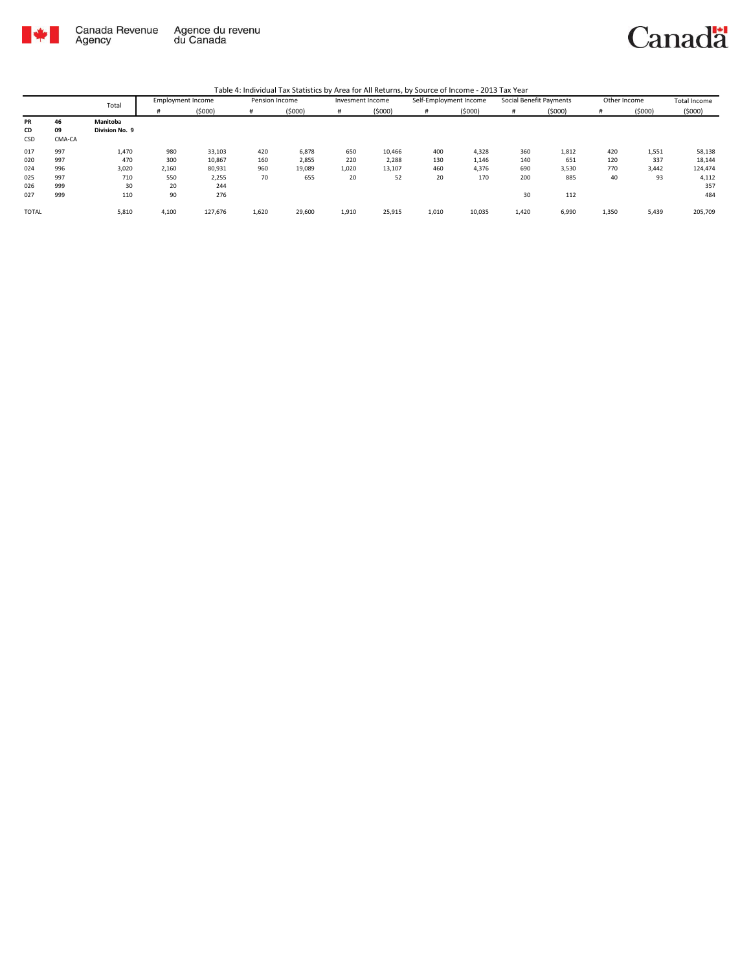

Canadä

|              |        | Total          | <b>Employment Income</b> |         | Pension Income |        | Invesment Income |        | Self-Employment Income |        | Social Benefit Payments |        | Other Income |        | Total Income |
|--------------|--------|----------------|--------------------------|---------|----------------|--------|------------------|--------|------------------------|--------|-------------------------|--------|--------------|--------|--------------|
|              |        |                | #                        | (5000)  | #              | (5000) |                  | (5000) | #                      | (5000) | #                       | (5000) | #            | (5000) | (5000)       |
| PR           | 46     | Manitoba       |                          |         |                |        |                  |        |                        |        |                         |        |              |        |              |
| CD           | 09     | Division No. 9 |                          |         |                |        |                  |        |                        |        |                         |        |              |        |              |
| CSD          | CMA-CA |                |                          |         |                |        |                  |        |                        |        |                         |        |              |        |              |
| 017          | 997    | 1,470          | 980                      | 33,103  | 420            | 6,878  | 650              | 10,466 | 400                    | 4,328  | 360                     | 1,812  | 420          | 1,551  | 58,138       |
| 020          | 997    | 470            | 300                      | 10,867  | 160            | 2,855  | 220              | 2,288  | 130                    | 1,146  | 140                     | 651    | 120          | 337    | 18,144       |
| 024          | 996    | 3,020          | 2,160                    | 80,931  | 960            | 19,089 | 1,020            | 13,107 | 460                    | 4.376  | 690                     | 3,530  | 770          | 3,442  | 124,474      |
| 025          | 997    | 710            | 550                      | 2,255   | 70             | 655    | 20               | 52     | 20                     | 170    | 200                     | 885    | 40           | 93     | 4,112        |
| 026          | 999    | 30             | 20                       | 244     |                |        |                  |        |                        |        |                         |        |              |        | 357          |
| 027          | 999    | 110            | 90                       | 276     |                |        |                  |        |                        |        | 30                      | 112    |              |        | 484          |
| <b>TOTAL</b> |        | 5,810          | 4,100                    | 127,676 | 1,620          | 29,600 | 1,910            | 25,915 | 1,010                  | 10,035 | 1,420                   | 6,990  | 1,350        | 5,439  | 205,709      |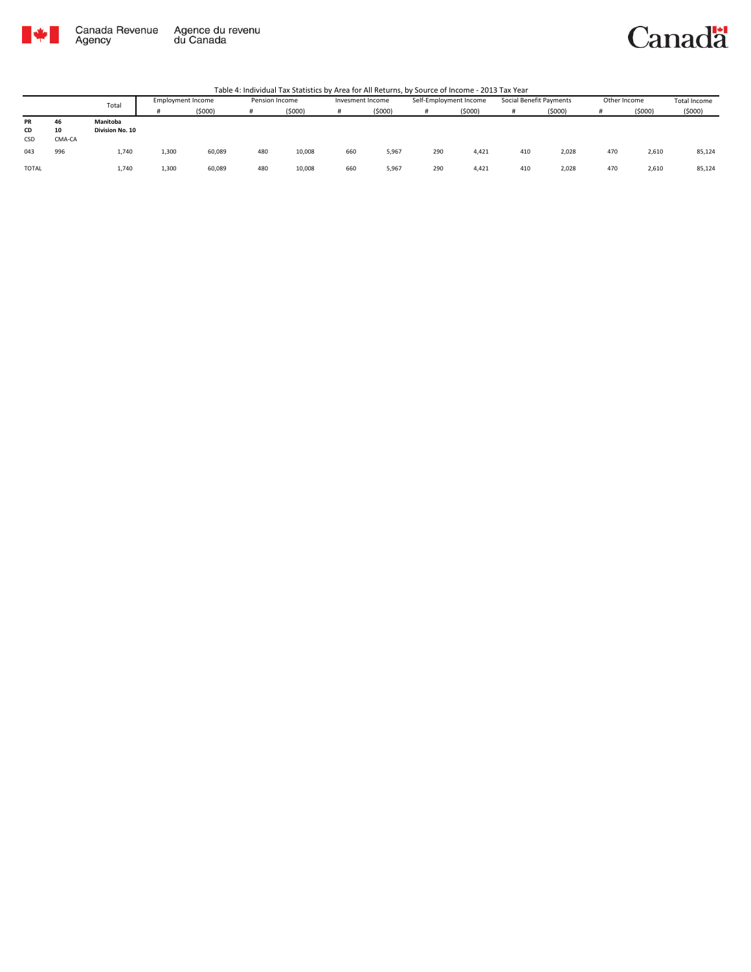

#### Canadä

|              |        | Total           | <b>Employment Income</b> |        | Pension Income |        | Invesment Income |        | Self-Employment Income |        | Social Benefit Payments |        | Other Income |        | Total Income |
|--------------|--------|-----------------|--------------------------|--------|----------------|--------|------------------|--------|------------------------|--------|-------------------------|--------|--------------|--------|--------------|
|              |        |                 |                          | (5000) |                | (5000) |                  | (5000) |                        | (5000) |                         | (5000) |              | (5000) | (5000)       |
| PR           | 46     | Manitoba        |                          |        |                |        |                  |        |                        |        |                         |        |              |        |              |
| CD           | 10     | Division No. 10 |                          |        |                |        |                  |        |                        |        |                         |        |              |        |              |
| CSD          | CMA-CA |                 |                          |        |                |        |                  |        |                        |        |                         |        |              |        |              |
| 043          | 996    | 1.740           | 1,300                    | 60,089 | 480            | 10,008 | 660              | 5,967  | 290                    | 4.421  | 410                     | 2,028  | 470          | 2,610  | 85,124       |
| <b>TOTAL</b> |        | 1.740           | 1,300                    | 60,089 | 480            | 10,008 | 660              | 5,967  | 290                    | 4.421  | 410                     | 2,028  | 470          | 2,610  | 85,124       |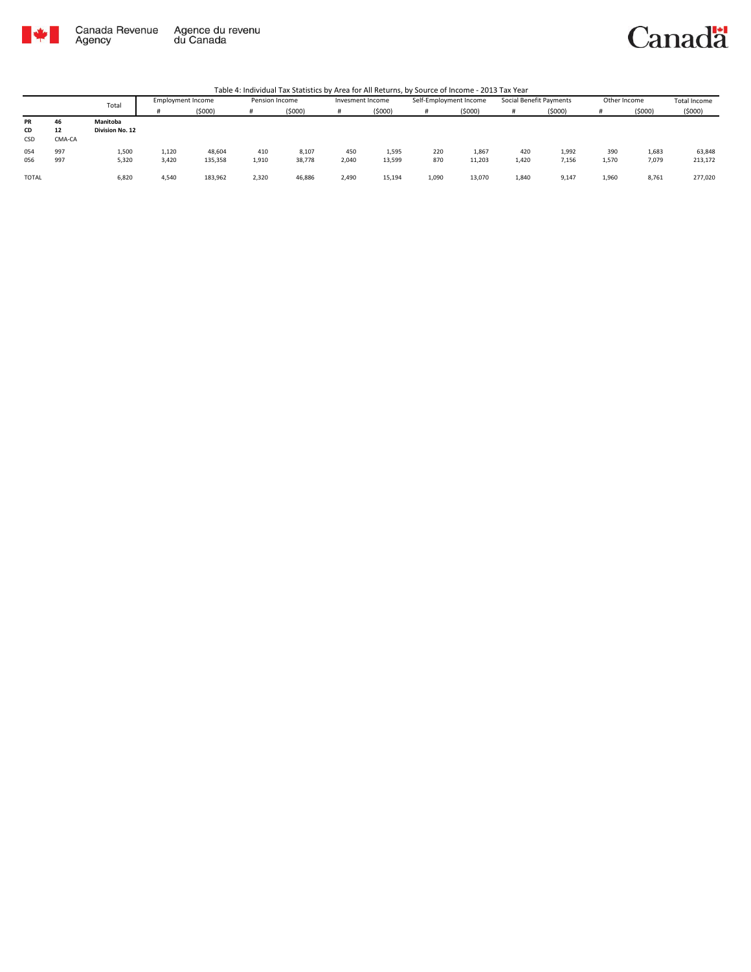

### Canadä

|              |        | Total                  | <b>Employment Income</b> |         | Pension Income |        | Invesment Income |        | Self-Employment Income |        | Social Benefit Payments |        | Other Income |        | Total Income |
|--------------|--------|------------------------|--------------------------|---------|----------------|--------|------------------|--------|------------------------|--------|-------------------------|--------|--------------|--------|--------------|
|              |        |                        |                          | (5000)  | #              | (5000) |                  | (5000) |                        | (5000) | #                       | (5000) |              | (5000) | (5000)       |
| PR           | 46     | Manitoba               |                          |         |                |        |                  |        |                        |        |                         |        |              |        |              |
| CD           | 12     | <b>Division No. 12</b> |                          |         |                |        |                  |        |                        |        |                         |        |              |        |              |
| CSD          | CMA-CA |                        |                          |         |                |        |                  |        |                        |        |                         |        |              |        |              |
| 054          | 997    | 1,500                  | 1.120                    | 48,604  | 410            | 8,107  | 450              | 1,595  | 220                    | 1,867  | 420                     | 1,992  | 390          | 1,683  | 63,848       |
| 056          | 997    | 5,320                  | 3,420                    | 135,358 | 1,910          | 38,778 | 2,040            | 13,599 | 870                    | 11,203 | 1,420                   | 7,156  | 1,570        | 7,079  | 213,172      |
| <b>TOTAL</b> |        | 6,820                  | 4,540                    | 183,962 | 2,320          | 46,886 | 2,490            | 15,194 | 1,090                  | 13,070 | 1,840                   | 9,147  | 1,960        | 8,761  | 277,020      |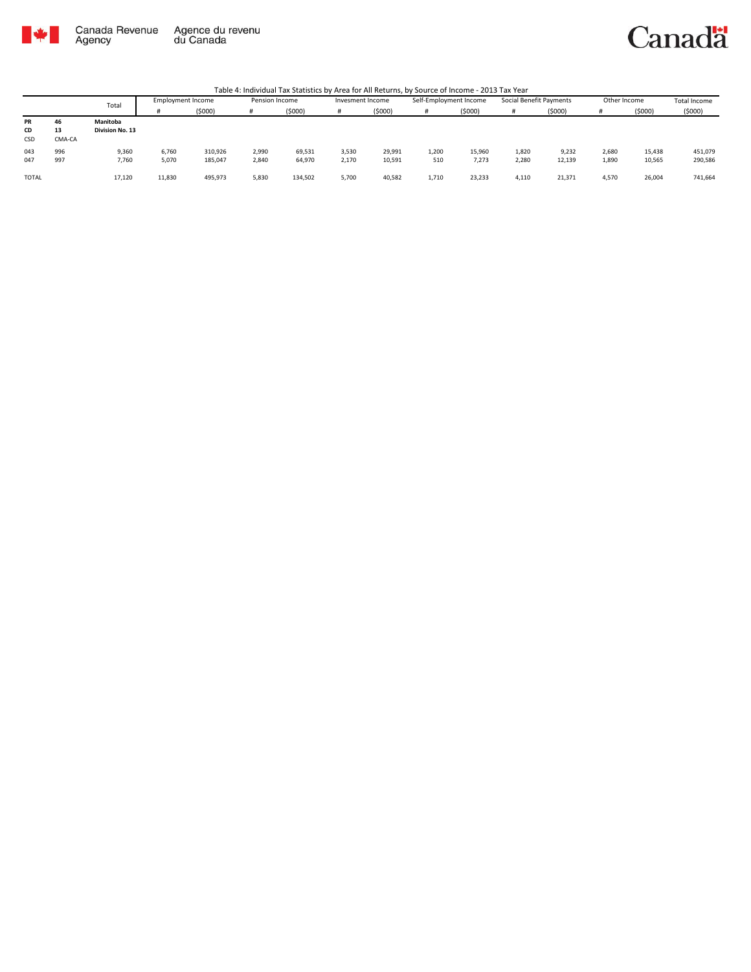

### Canadä

|              |        | Total           | Employment Income |         | Pension Income |         | Invesment Income |         | Self-Employment Income |        | Social Benefit Payments |         | Other Income |        | <b>Total Income</b> |
|--------------|--------|-----------------|-------------------|---------|----------------|---------|------------------|---------|------------------------|--------|-------------------------|---------|--------------|--------|---------------------|
|              |        |                 |                   | (5000)  | <b>H</b>       | (5000)  |                  | (\$000) |                        | (5000) | #                       | (\$000) |              | (5000) | (5000)              |
| PR           | 46     | Manitoba        |                   |         |                |         |                  |         |                        |        |                         |         |              |        |                     |
| CD           | 13     | Division No. 13 |                   |         |                |         |                  |         |                        |        |                         |         |              |        |                     |
| CSD          | CMA-CA |                 |                   |         |                |         |                  |         |                        |        |                         |         |              |        |                     |
| 043          | 996    | 9,360           | 6,760             | 310,926 | 2,990          | 69,531  | 3,530            | 29,991  | 1,200                  | 15,960 | 1,820                   | 9,232   | 2.680        | 15,438 | 451,079             |
| 047          | 997    | 7,760           | 5,070             | 185,047 | 2,840          | 64,970  | 2,170            | 10,591  | 510                    | 7,273  | 2,280                   | 12,139  | 1,890        | 10,565 | 290,586             |
| <b>TOTAL</b> |        | 17,120          | 11,830            | 495,973 | 5,830          | 134,502 | 5,700            | 40,582  | 1,710                  | 23,233 | 4,110                   | 21,371  | 4.570        | 26,004 | 741,664             |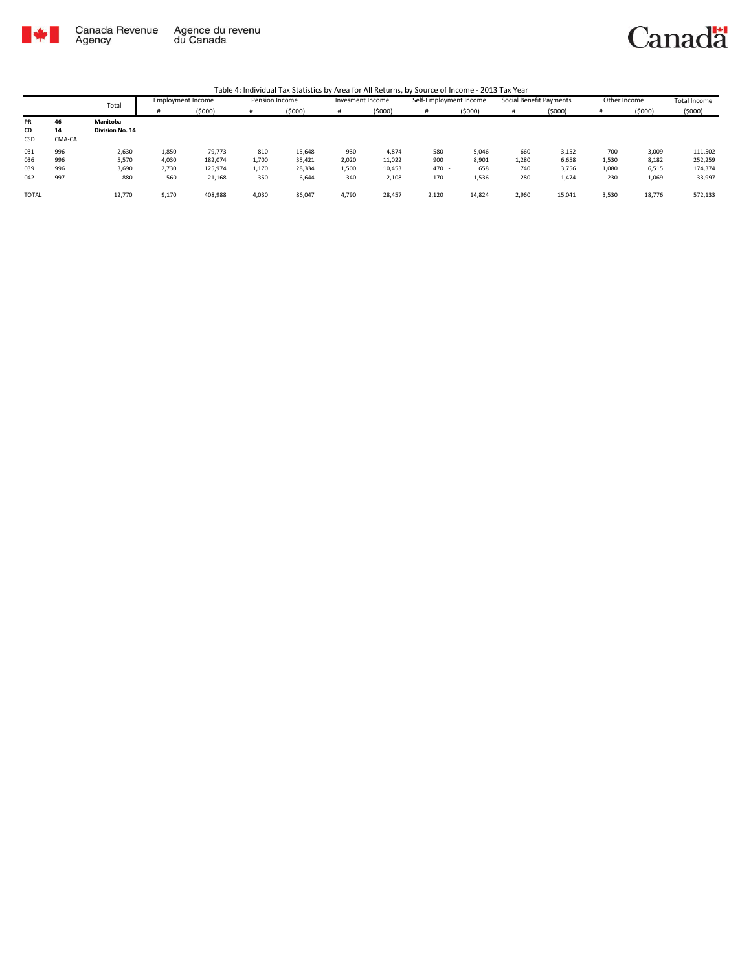

Canadä

|              |        | Total           | Employment Income |         | Pension Income |        | Invesment Income |         | Self-Employment Income |        | Social Benefit Payments |        | Other Income |        | Total Income |
|--------------|--------|-----------------|-------------------|---------|----------------|--------|------------------|---------|------------------------|--------|-------------------------|--------|--------------|--------|--------------|
|              |        |                 |                   | (5000)  | #              | (5000) |                  | (\$000) | #                      | (5000) |                         | (5000) |              | (5000) | (5000)       |
| PR           | 46     | Manitoba        |                   |         |                |        |                  |         |                        |        |                         |        |              |        |              |
| CD           | 14     | Division No. 14 |                   |         |                |        |                  |         |                        |        |                         |        |              |        |              |
| <b>CSD</b>   | CMA-CA |                 |                   |         |                |        |                  |         |                        |        |                         |        |              |        |              |
| 031          | 996    | 2,630           | 1,850             | 79,773  | 810            | 15,648 | 930              | 4,874   | 580                    | 5,046  | 660                     | 3,152  | 700          | 3,009  | 111,502      |
| 036          | 996    | 5,570           | 4,030             | 182,074 | 1,700          | 35,421 | 2,020            | 11,022  | 900                    | 8.901  | 1,280                   | 6,658  | 1,530        | 8,182  | 252,259      |
| 039          | 996    | 3,690           | 2,730             | 125,974 | 1,170          | 28,334 | 1,500            | 10,453  | 470 -                  | 658    | 740                     | 3,756  | 1,080        | 6,515  | 174,374      |
| 042          | 997    | 880             | 560               | 21,168  | 350            | 6,644  | 340              | 2,108   | 170                    | 1,536  | 280                     | 1,474  | 230          | 1,069  | 33,997       |
|              |        |                 |                   |         |                |        |                  |         |                        |        |                         |        |              |        |              |
| <b>TOTAL</b> |        | 12,770          | 9,170             | 408,988 | 4,030          | 86,047 | 4,790            | 28,457  | 2,120                  | 14,824 | 2,960                   | 15,041 | 3,530        | 18,776 | 572,133      |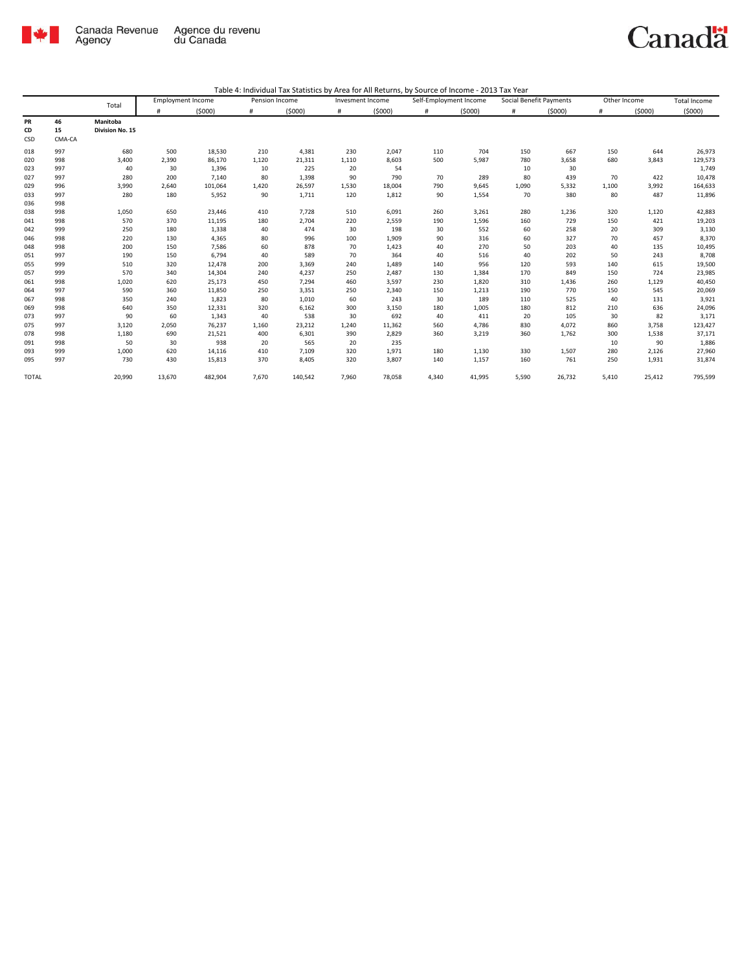

|                 |                    | Total                       | <b>Employment Income</b> |         | Pension Income |         | Invesment Income |        | Self-Employment Income |        | Social Benefit Payments |        | Other Income |        | Total Income |
|-----------------|--------------------|-----------------------------|--------------------------|---------|----------------|---------|------------------|--------|------------------------|--------|-------------------------|--------|--------------|--------|--------------|
|                 |                    |                             | #                        | (5000)  | #              | (5000)  | #                | (5000) | #                      | (5000) | #                       | (5000) | #            | (5000) | (5000)       |
| PR<br>CD<br>CSD | 46<br>15<br>CMA-CA | Manitoba<br>Division No. 15 |                          |         |                |         |                  |        |                        |        |                         |        |              |        |              |
| 018             | 997                | 680                         | 500                      | 18,530  | 210            | 4,381   | 230              | 2,047  | 110                    | 704    | 150                     | 667    | 150          | 644    | 26,973       |
| 020             | 998                | 3,400                       | 2,390                    | 86,170  | 1,120          | 21,311  | 1,110            | 8,603  | 500                    | 5,987  | 780                     | 3,658  | 680          | 3,843  | 129,573      |
| 023             | 997                | 40                          | 30                       | 1,396   | 10             | 225     | 20               | 54     |                        |        | 10                      | 30     |              |        | 1,749        |
| 027             | 997                | 280                         | 200                      | 7,140   | 80             | 1,398   | 90               | 790    | 70                     | 289    | 80                      | 439    | 70           | 422    | 10,478       |
| 029             | 996                | 3,990                       | 2.640                    | 101,064 | 1,420          | 26,597  | 1,530            | 18,004 | 790                    | 9,645  | 1,090                   | 5,332  | 1,100        | 3,992  | 164,633      |
| 033<br>036      | 997<br>998         | 280                         | 180                      | 5,952   | 90             | 1,711   | 120              | 1,812  | 90                     | 1,554  | 70                      | 380    | 80           | 487    | 11,896       |
| 038             | 998                | 1,050                       | 650                      | 23,446  | 410            | 7,728   | 510              | 6,091  | 260                    | 3,261  | 280                     | 1,236  | 320          | 1,120  | 42,883       |
| 041             | 998                | 570                         | 370                      | 11,195  | 180            | 2,704   | 220              | 2,559  | 190                    | 1,596  | 160                     | 729    | 150          | 421    | 19,203       |
| 042             | 999                | 250                         | 180                      | 1,338   | 40             | 474     | 30               | 198    | 30                     | 552    | 60                      | 258    | 20           | 309    | 3,130        |
| 046             | 998                | 220                         | 130                      | 4,365   | 80             | 996     | 100              | 1,909  | 90                     | 316    | 60                      | 327    | 70           | 457    | 8,370        |
| 048             | 998                | 200                         | 150                      | 7,586   | 60             | 878     | 70               | 1,423  | 40                     | 270    | 50                      | 203    | 40           | 135    | 10,495       |
| 051             | 997                | 190                         | 150                      | 6,794   | 40             | 589     | 70               | 364    | 40                     | 516    | 40                      | 202    | 50           | 243    | 8,708        |
| 055             | 999                | 510                         | 320                      | 12,478  | 200            | 3,369   | 240              | 1,489  | 140                    | 956    | 120                     | 593    | 140          | 615    | 19,500       |
| 057             | 999                | 570                         | 340                      | 14,304  | 240            | 4,237   | 250              | 2,487  | 130                    | 1,384  | 170                     | 849    | 150          | 724    | 23,985       |
| 061             | 998                | 1,020                       | 620                      | 25,173  | 450            | 7,294   | 460              | 3,597  | 230                    | 1,820  | 310                     | 1,436  | 260          | 1,129  | 40,450       |
| 064             | 997                | 590                         | 360                      | 11,850  | 250            | 3,351   | 250              | 2,340  | 150                    | 1,213  | 190                     | 770    | 150          | 545    | 20,069       |
| 067             | 998                | 350                         | 240                      | 1,823   | 80             | 1,010   | 60               | 243    | 30                     | 189    | 110                     | 525    | 40           | 131    | 3,921        |
| 069             | 998                | 640                         | 350                      | 12,331  | 320            | 6,162   | 300              | 3,150  | 180                    | 1,005  | 180                     | 812    | 210          | 636    | 24,096       |
| 073             | 997                | 90                          | 60                       | 1,343   | 40             | 538     | 30               | 692    | 40                     | 411    | 20                      | 105    | 30           | 82     | 3,171        |
| 075             | 997                | 3,120                       | 2,050                    | 76,237  | 1,160          | 23,212  | 1,240            | 11,362 | 560                    | 4,786  | 830                     | 4,072  | 860          | 3,758  | 123,427      |
| 078             | 998                | 1,180                       | 690                      | 21,521  | 400            | 6,301   | 390              | 2,829  | 360                    | 3,219  | 360                     | 1,762  | 300          | 1,538  | 37,171       |
| 091             | 998                | 50                          | 30                       | 938     | 20             | 565     | 20               | 235    |                        |        |                         |        | 10           | 90     | 1,886        |
| 093             | 999                | 1,000                       | 620                      | 14,116  | 410            | 7,109   | 320              | 1,971  | 180                    | 1,130  | 330                     | 1,507  | 280          | 2,126  | 27,960       |
| 095             | 997                | 730                         | 430                      | 15,813  | 370            | 8,405   | 320              | 3,807  | 140                    | 1,157  | 160                     | 761    | 250          | 1,931  | 31,874       |
| <b>TOTAL</b>    |                    | 20,990                      | 13,670                   | 482,904 | 7,670          | 140,542 | 7,960            | 78,058 | 4,340                  | 41,995 | 5,590                   | 26,732 | 5,410        | 25,412 | 795,599      |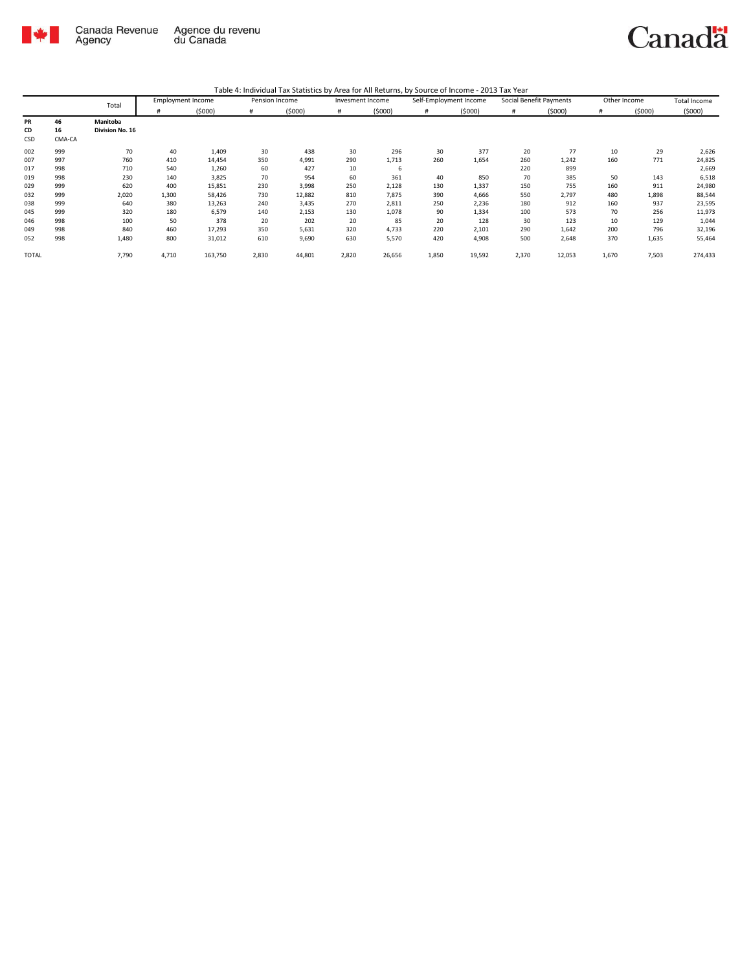

| Table 4: Individual Tax Statistics by Area for All Returns, by Source of Income - 2013 Tax Year |  |  |
|-------------------------------------------------------------------------------------------------|--|--|
|                                                                                                 |  |  |

|              |          | Total                       | <b>Employment Income</b> |         | Pension Income |        | Invesment Income |        | Self-Employment Income |        | Social Benefit Payments |        | Other Income |        | Total Income |
|--------------|----------|-----------------------------|--------------------------|---------|----------------|--------|------------------|--------|------------------------|--------|-------------------------|--------|--------------|--------|--------------|
|              |          |                             | #                        | (5000)  | #              | (5000) | #                | (5000) | #                      | (5000) | #                       | (5000) |              | (5000) | (5000)       |
| PR<br>CD     | 46<br>16 | Manitoba<br>Division No. 16 |                          |         |                |        |                  |        |                        |        |                         |        |              |        |              |
| CSD          | CMA-CA   |                             |                          |         |                |        |                  |        |                        |        |                         |        |              |        |              |
| 002          | 999      | 70                          | 40                       | 1,409   | 30             | 438    | 30               | 296    | 30                     | 377    | 20                      | 77     | 10           | 29     | 2,626        |
| 007          | 997      | 760                         | 410                      | 14,454  | 350            | 4,991  | 290              | 1,713  | 260                    | 1,654  | 260                     | 1,242  | 160          | 771    | 24,825       |
| 017          | 998      | 710                         | 540                      | 1,260   | 60             | 427    | 10               | 6      |                        |        | 220                     | 899    |              |        | 2,669        |
| 019          | 998      | 230                         | 140                      | 3,825   | 70             | 954    | 60               | 361    | 40                     | 850    | 70                      | 385    | 50           | 143    | 6,518        |
| 029          | 999      | 620                         | 400                      | 15,851  | 230            | 3,998  | 250              | 2,128  | 130                    | 1,337  | 150                     | 755    | 160          | 911    | 24,980       |
| 032          | 999      | 2,020                       | 1,300                    | 58,426  | 730            | 12,882 | 810              | 7,875  | 390                    | 4,666  | 550                     | 2,797  | 480          | 1,898  | 88,544       |
| 038          | 999      | 640                         | 380                      | 13,263  | 240            | 3,435  | 270              | 2,811  | 250                    | 2,236  | 180                     | 912    | 160          | 937    | 23,595       |
| 045          | 999      | 320                         | 180                      | 6,579   | 140            | 2,153  | 130              | 1,078  | 90                     | 1,334  | 100                     | 573    | 70           | 256    | 11,973       |
| 046          | 998      | 100                         | 50                       | 378     | 20             | 202    | 20               | 85     | 20                     | 128    | 30                      | 123    | 10           | 129    | 1,044        |
| 049          | 998      | 840                         | 460                      | 17,293  | 350            | 5,631  | 320              | 4,733  | 220                    | 2,101  | 290                     | 1,642  | 200          | 796    | 32,196       |
| 052          | 998      | 1,480                       | 800                      | 31,012  | 610            | 9,690  | 630              | 5,570  | 420                    | 4,908  | 500                     | 2,648  | 370          | 1,635  | 55,464       |
| <b>TOTAL</b> |          | 7,790                       | 4,710                    | 163,750 | 2,830          | 44,801 | 2,820            | 26,656 | 1,850                  | 19,592 | 2,370                   | 12,053 | 1,670        | 7,503  | 274,433      |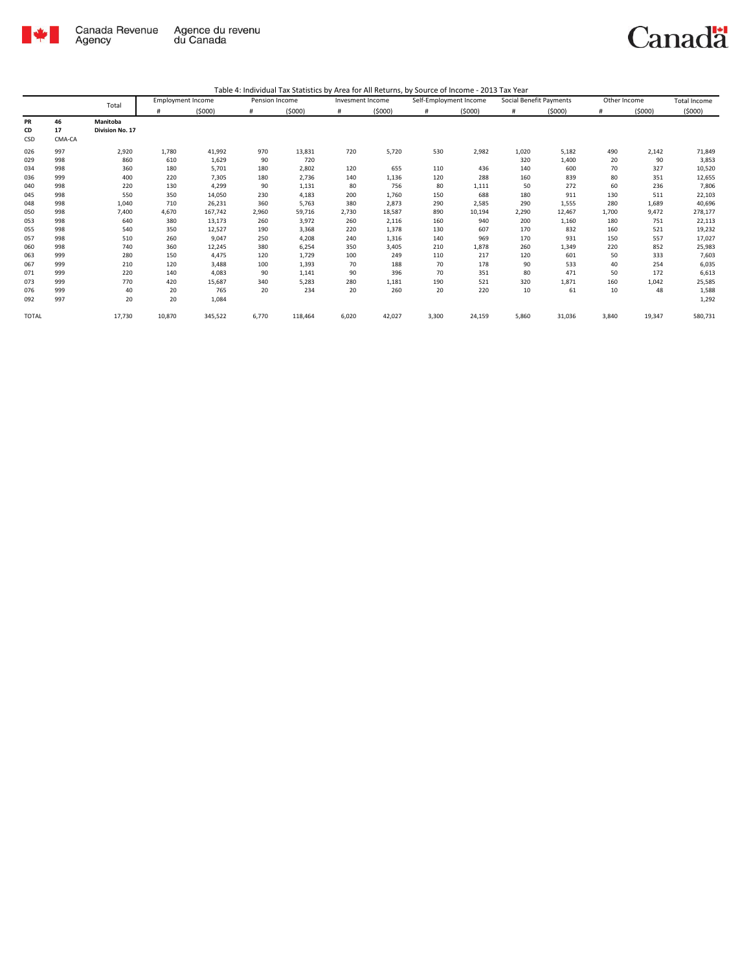

|              |        | Total           |        | <b>Employment Income</b> | Pension Income |         | Invesment Income |        | Self-Employment Income |        | Social Benefit Payments |        | Other Income |        | <b>Total Income</b> |
|--------------|--------|-----------------|--------|--------------------------|----------------|---------|------------------|--------|------------------------|--------|-------------------------|--------|--------------|--------|---------------------|
|              |        |                 |        | (5000)                   | #              | (5000)  | #                | (5000) | #                      | (5000) |                         | (5000) | #            | (5000) | (5000)              |
| PR           | 46     | Manitoba        |        |                          |                |         |                  |        |                        |        |                         |        |              |        |                     |
| CD           | 17     | Division No. 17 |        |                          |                |         |                  |        |                        |        |                         |        |              |        |                     |
| CSD          | CMA-CA |                 |        |                          |                |         |                  |        |                        |        |                         |        |              |        |                     |
| 026          | 997    | 2,920           | 1,780  | 41,992                   | 970            | 13,831  | 720              | 5,720  | 530                    | 2,982  | 1,020                   | 5,182  | 490          | 2,142  | 71,849              |
| 029          | 998    | 860             | 610    | 1,629                    | 90             | 720     |                  |        |                        |        | 320                     | 1,400  | 20           | 90     | 3,853               |
| 034          | 998    | 360             | 180    | 5,701                    | 180            | 2,802   | 120              | 655    | 110                    | 436    | 140                     | 600    | 70           | 327    | 10,520              |
| 036          | 999    | 400             | 220    | 7,305                    | 180            | 2,736   | 140              | 1,136  | 120                    | 288    | 160                     | 839    | 80           | 351    | 12,655              |
| 040          | 998    | 220             | 130    | 4,299                    | 90             | 1,131   | 80               | 756    | 80                     | 1,111  | 50                      | 272    | 60           | 236    | 7,806               |
| 045          | 998    | 550             | 350    | 14,050                   | 230            | 4,183   | 200              | 1,760  | 150                    | 688    | 180                     | 911    | 130          | 511    | 22,103              |
| 048          | 998    | 1,040           | 710    | 26,231                   | 360            | 5,763   | 380              | 2,873  | 290                    | 2,585  | 290                     | 1,555  | 280          | 1,689  | 40,696              |
| 050          | 998    | 7,400           | 4,670  | 167,742                  | 2,960          | 59,716  | 2,730            | 18,587 | 890                    | 10,194 | 2,290                   | 12,467 | 1,700        | 9,472  | 278,177             |
| 053          | 998    | 640             | 380    | 13,173                   | 260            | 3,972   | 260              | 2,116  | 160                    | 940    | 200                     | 1,160  | 180          | 751    | 22,113              |
| 055          | 998    | 540             | 350    | 12,527                   | 190            | 3,368   | 220              | 1,378  | 130                    | 607    | 170                     | 832    | 160          | 521    | 19,232              |
| 057          | 998    | 510             | 260    | 9,047                    | 250            | 4,208   | 240              | 1,316  | 140                    | 969    | 170                     | 931    | 150          | 557    | 17,027              |
| 060          | 998    | 740             | 360    | 12,245                   | 380            | 6,254   | 350              | 3,405  | 210                    | 1,878  | 260                     | 1,349  | 220          | 852    | 25,983              |
| 063          | 999    | 280             | 150    | 4,475                    | 120            | 1,729   | 100              | 249    | 110                    | 217    | 120                     | 601    | 50           | 333    | 7,603               |
| 067          | 999    | 210             | 120    | 3,488                    | 100            | 1,393   | 70               | 188    | 70                     | 178    | 90                      | 533    | 40           | 254    | 6,035               |
| 071          | 999    | 220             | 140    | 4,083                    | 90             | 1,141   | 90               | 396    | 70                     | 351    | 80                      | 471    | 50           | 172    | 6,613               |
| 073          | 999    | 770             | 420    | 15,687                   | 340            | 5,283   | 280              | 1,181  | 190                    | 521    | 320                     | 1,871  | 160          | 1,042  | 25,585              |
| 076          | 999    | 40              | 20     | 765                      | 20             | 234     | 20               | 260    | 20                     | 220    | 10                      | 61     | 10           | 48     | 1,588               |
| 092          | 997    | 20              | 20     | 1,084                    |                |         |                  |        |                        |        |                         |        |              |        | 1,292               |
| <b>TOTAL</b> |        | 17,730          | 10,870 | 345,522                  | 6,770          | 118,464 | 6,020            | 42,027 | 3,300                  | 24,159 | 5,860                   | 31,036 | 3,840        | 19,347 | 580,731             |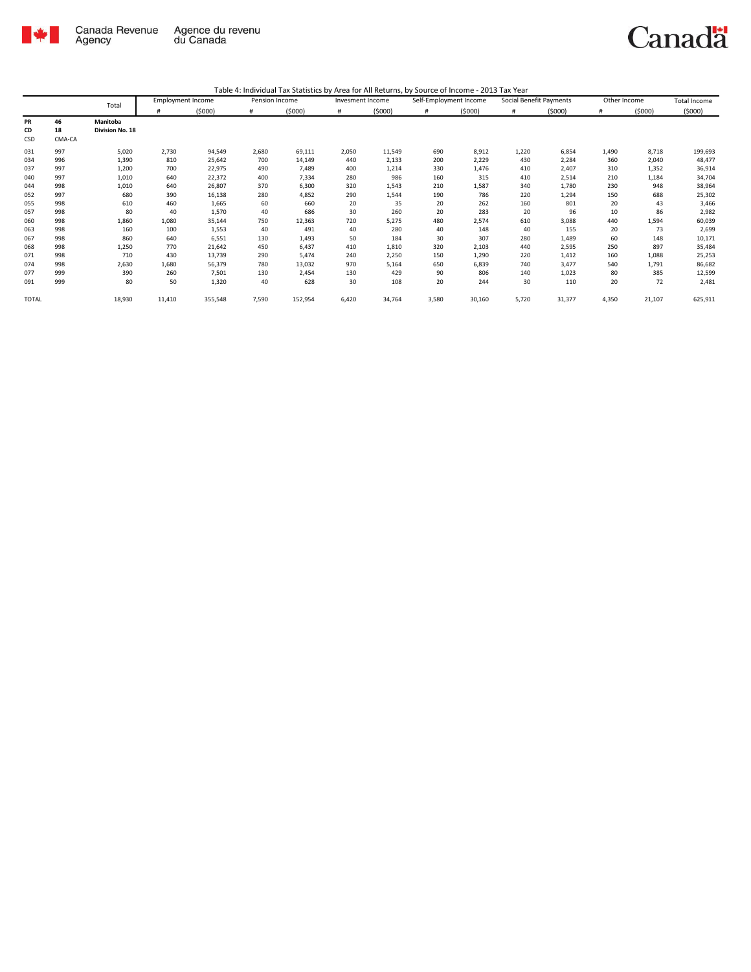

|              |        | Total           | <b>Employment Income</b> |         | Pension Income |         | Invesment Income |        | Self-Employment Income |        | Social Benefit Payments |        | Other Income |        | <b>Total Income</b> |
|--------------|--------|-----------------|--------------------------|---------|----------------|---------|------------------|--------|------------------------|--------|-------------------------|--------|--------------|--------|---------------------|
|              |        |                 | #                        | (5000)  | #              | (5000)  | #                | (5000) | #                      | (5000) | #                       | (5000) | #            | (5000) | (5000)              |
| PR           | 46     | Manitoba        |                          |         |                |         |                  |        |                        |        |                         |        |              |        |                     |
| CD           | 18     | Division No. 18 |                          |         |                |         |                  |        |                        |        |                         |        |              |        |                     |
| CSD          | CMA-CA |                 |                          |         |                |         |                  |        |                        |        |                         |        |              |        |                     |
| 031          | 997    | 5,020           | 2,730                    | 94,549  | 2,680          | 69,111  | 2,050            | 11,549 | 690                    | 8,912  | 1,220                   | 6,854  | 1,490        | 8,718  | 199,693             |
| 034          | 996    | 1,390           | 810                      | 25,642  | 700            | 14,149  | 440              | 2,133  | 200                    | 2,229  | 430                     | 2,284  | 360          | 2,040  | 48,477              |
| 037          | 997    | 1,200           | 700                      | 22,975  | 490            | 7,489   | 400              | 1,214  | 330                    | 1,476  | 410                     | 2,407  | 310          | 1,352  | 36,914              |
| 040          | 997    | 1,010           | 640                      | 22,372  | 400            | 7,334   | 280              | 986    | 160                    | 315    | 410                     | 2,514  | 210          | 1,184  | 34,704              |
| 044          | 998    | 1,010           | 640                      | 26,807  | 370            | 6,300   | 320              | 1,543  | 210                    | 1,587  | 340                     | 1,780  | 230          | 948    | 38,964              |
| 052          | 997    | 680             | 390                      | 16,138  | 280            | 4,852   | 290              | 1,544  | 190                    | 786    | 220                     | 1,294  | 150          | 688    | 25,302              |
| 055          | 998    | 610             | 460                      | 1,665   | 60             | 660     | 20               | 35     | 20                     | 262    | 160                     | 801    | 20           | 43     | 3,466               |
| 057          | 998    | 80              | 40                       | 1,570   | 40             | 686     | 30               | 260    | 20                     | 283    | 20                      | 96     | 10           | 86     | 2,982               |
| 060          | 998    | 1,860           | 1,080                    | 35,144  | 750            | 12,363  | 720              | 5,275  | 480                    | 2,574  | 610                     | 3,088  | 440          | 1,594  | 60,039              |
| 063          | 998    | 160             | 100                      | 1,553   | 40             | 491     | 40               | 280    | 40                     | 148    | 40                      | 155    | 20           | 73     | 2,699               |
| 067          | 998    | 860             | 640                      | 6,551   | 130            | 1,493   | 50               | 184    | 30                     | 307    | 280                     | 1,489  | 60           | 148    | 10,171              |
| 068          | 998    | 1,250           | 770                      | 21,642  | 450            | 6,437   | 410              | 1,810  | 320                    | 2,103  | 440                     | 2,595  | 250          | 897    | 35,484              |
| 071          | 998    | 710             | 430                      | 13,739  | 290            | 5,474   | 240              | 2,250  | 150                    | 1,290  | 220                     | 1,412  | 160          | 1,088  | 25,253              |
| 074          | 998    | 2,630           | 1,680                    | 56,379  | 780            | 13,032  | 970              | 5,164  | 650                    | 6,839  | 740                     | 3,477  | 540          | 1,791  | 86,682              |
| 077          | 999    | 390             | 260                      | 7,501   | 130            | 2,454   | 130              | 429    | 90                     | 806    | 140                     | 1,023  | 80           | 385    | 12,599              |
| 091          | 999    | 80              | 50                       | 1,320   | 40             | 628     | 30               | 108    | 20                     | 244    | 30                      | 110    | 20           | 72     | 2,481               |
| <b>TOTAL</b> |        | 18,930          | 11,410                   | 355,548 | 7,590          | 152,954 | 6,420            | 34,764 | 3,580                  | 30,160 | 5,720                   | 31,377 | 4,350        | 21,107 | 625,911             |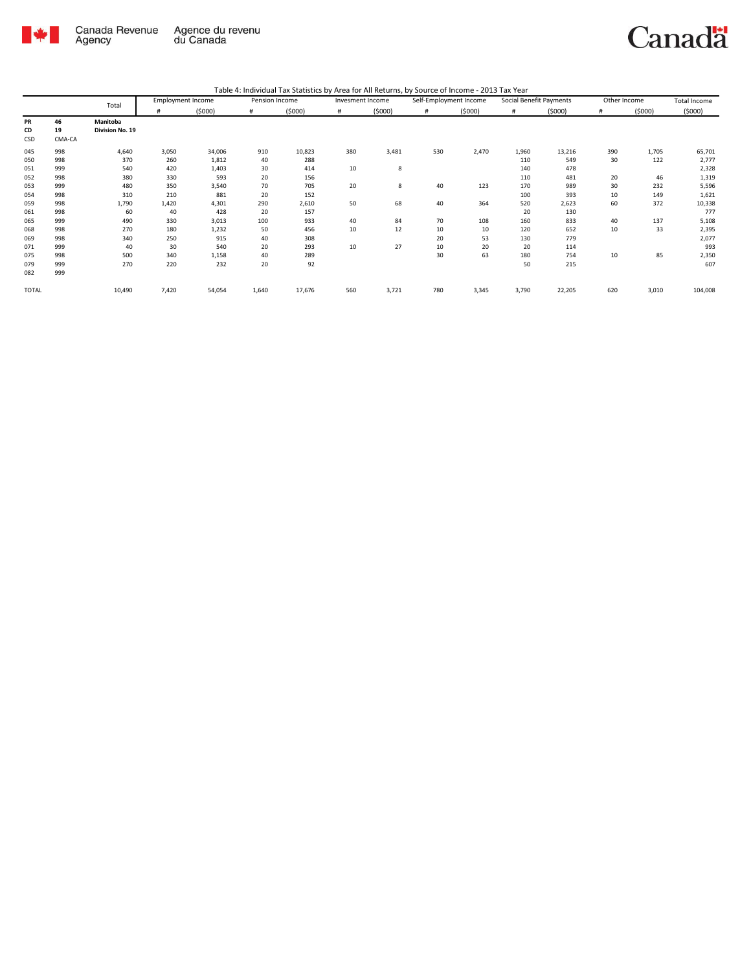

| Table 4: Individual Tax Statistics by Area for All Returns, by Source of Income - 2013 Tax Year |  |  |  |
|-------------------------------------------------------------------------------------------------|--|--|--|
|-------------------------------------------------------------------------------------------------|--|--|--|

|              |        | Total           | <b>Employment Income</b> |        | Pension Income |        | Invesment Income |        | Self-Employment Income |        |       | Social Benefit Payments | Other Income |        | <b>Total Income</b> |
|--------------|--------|-----------------|--------------------------|--------|----------------|--------|------------------|--------|------------------------|--------|-------|-------------------------|--------------|--------|---------------------|
|              |        |                 | #                        | (5000) | #              | (5000) | #                | (5000) | #                      | (5000) | #     | (5000)                  | #            | (5000) | (5000)              |
| PR           | 46     | Manitoba        |                          |        |                |        |                  |        |                        |        |       |                         |              |        |                     |
| CD           | 19     | Division No. 19 |                          |        |                |        |                  |        |                        |        |       |                         |              |        |                     |
| CSD          | CMA-CA |                 |                          |        |                |        |                  |        |                        |        |       |                         |              |        |                     |
| 045          | 998    | 4,640           | 3,050                    | 34,006 | 910            | 10,823 | 380              | 3,481  | 530                    | 2,470  | 1,960 | 13,216                  | 390          | 1,705  | 65,701              |
| 050          | 998    | 370             | 260                      | 1,812  | 40             | 288    |                  |        |                        |        | 110   | 549                     | 30           | 122    | 2,777               |
| 051          | 999    | 540             | 420                      | 1,403  | 30             | 414    | 10               | 8      |                        |        | 140   | 478                     |              |        | 2,328               |
| 052          | 998    | 380             | 330                      | 593    | 20             | 156    |                  |        |                        |        | 110   | 481                     | 20           | 46     | 1,319               |
| 053          | 999    | 480             | 350                      | 3,540  | 70             | 705    | 20               | 8      | 40                     | 123    | 170   | 989                     | 30           | 232    | 5,596               |
| 054          | 998    | 310             | 210                      | 881    | 20             | 152    |                  |        |                        |        | 100   | 393                     | 10           | 149    | 1,621               |
| 059          | 998    | 1,790           | 1,420                    | 4,301  | 290            | 2,610  | 50               | 68     | 40                     | 364    | 520   | 2,623                   | 60           | 372    | 10,338              |
| 061          | 998    | 60              | 40                       | 428    | 20             | 157    |                  |        |                        |        | 20    | 130                     |              |        | 777                 |
| 065          | 999    | 490             | 330                      | 3,013  | 100            | 933    | 40               | 84     | 70                     | 108    | 160   | 833                     | 40           | 137    | 5,108               |
| 068          | 998    | 270             | 180                      | 1,232  | 50             | 456    | 10               | 12     | 10                     | 10     | 120   | 652                     | 10           | 33     | 2,395               |
| 069          | 998    | 340             | 250                      | 915    | 40             | 308    |                  |        | 20                     | 53     | 130   | 779                     |              |        | 2,077               |
| 071          | 999    | 40              | 30                       | 540    | 20             | 293    | 10               | 27     | 10                     | 20     | 20    | 114                     |              |        | 993                 |
| 075          | 998    | 500             | 340                      | 1,158  | 40             | 289    |                  |        | 30                     | 63     | 180   | 754                     | 10           | 85     | 2,350               |
| 079          | 999    | 270             | 220                      | 232    | 20             | 92     |                  |        |                        |        | 50    | 215                     |              |        | 607                 |
| 082          | 999    |                 |                          |        |                |        |                  |        |                        |        |       |                         |              |        |                     |
| <b>TOTAL</b> |        | 10,490          | 7,420                    | 54,054 | 1,640          | 17,676 | 560              | 3,721  | 780                    | 3,345  | 3,790 | 22,205                  | 620          | 3,010  | 104,008             |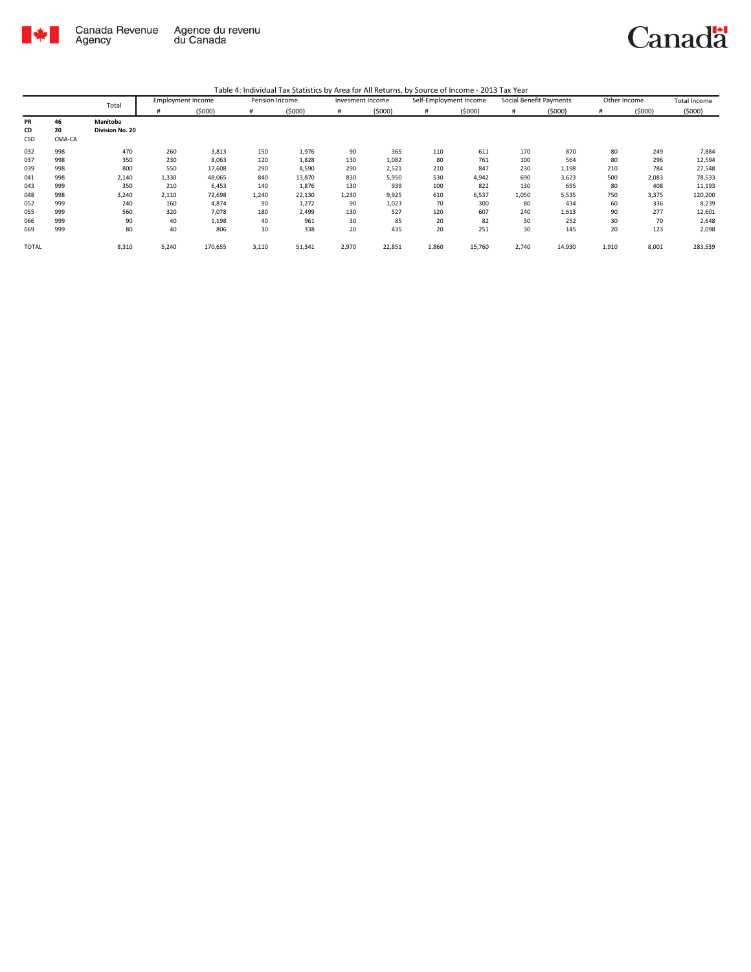

|              |        | Total           | <b>Employment Income</b> |         | Pension Income |        | Invesment Income |        | Self-Employment Income |        | Social Benefit Payments |        | Other Income |        | <b>Total Income</b> |
|--------------|--------|-----------------|--------------------------|---------|----------------|--------|------------------|--------|------------------------|--------|-------------------------|--------|--------------|--------|---------------------|
|              |        |                 | #                        | (5000)  | #              | (5000) | #                | (5000) | #                      | (5000) | #                       | (5000) | #            | (5000) | (5000)              |
| PR           | 46     | Manitoba        |                          |         |                |        |                  |        |                        |        |                         |        |              |        |                     |
| CD           | 20     | Division No. 20 |                          |         |                |        |                  |        |                        |        |                         |        |              |        |                     |
| CSD          | CMA-CA |                 |                          |         |                |        |                  |        |                        |        |                         |        |              |        |                     |
| 032          | 998    | 470             | 260                      | 3,813   | 150            | 1,976  | 90               | 365    | 110                    | 611    | 170                     | 870    | 80           | 249    | 7,884               |
| 037          | 998    | 350             | 230                      | 8,063   | 120            | 1,828  | 130              | 1,082  | 80                     | 761    | 100                     | 564    | 80           | 296    | 12,594              |
| 039          | 998    | 800             | 550                      | 17,608  | 290            | 4,590  | 290              | 2,521  | 210                    | 847    | 230                     | 1,198  | 210          | 784    | 27,548              |
| 041          | 998    | 2,140           | 1,330                    | 48,065  | 840            | 13,870 | 830              | 5,950  | 530                    | 4,942  | 690                     | 3,623  | 500          | 2,083  | 78,533              |
| 043          | 999    | 350             | 210                      | 6,453   | 140            | 1,876  | 130              | 939    | 100                    | 822    | 130                     | 695    | 80           | 408    | 11,193              |
| 048          | 998    | 3,240           | 2,110                    | 72,698  | 1,240          | 22,130 | 1,230            | 9,925  | 610                    | 6,537  | 1,050                   | 5,535  | 750          | 3,375  | 120,200             |
| 052          | 999    | 240             | 160                      | 4,874   | 90             | 1,272  | 90               | 1,023  | 70                     | 300    | 80                      | 434    | 60           | 336    | 8,239               |
| 055          | 999    | 560             | 320                      | 7,078   | 180            | 2,499  | 130              | 527    | 120                    | 607    | 240                     | 1,613  | 90           | 277    | 12,601              |
| 066          | 999    | 90              | 40                       | 1,198   | 40             | 961    | 30               | 85     | 20                     | 82     | 30                      | 252    | 30           | 70     | 2,648               |
| 069          | 999    | 80              | 40                       | 806     | 30             | 338    | 20               | 435    | 20                     | 251    | 30                      | 145    | 20           | 123    | 2,098               |
| <b>TOTAL</b> |        | 8,310           | 5,240                    | 170,655 | 3,110          | 51,341 | 2,970            | 22,851 | 1,860                  | 15,760 | 2,740                   | 14,930 | 1,910        | 8,001  | 283,539             |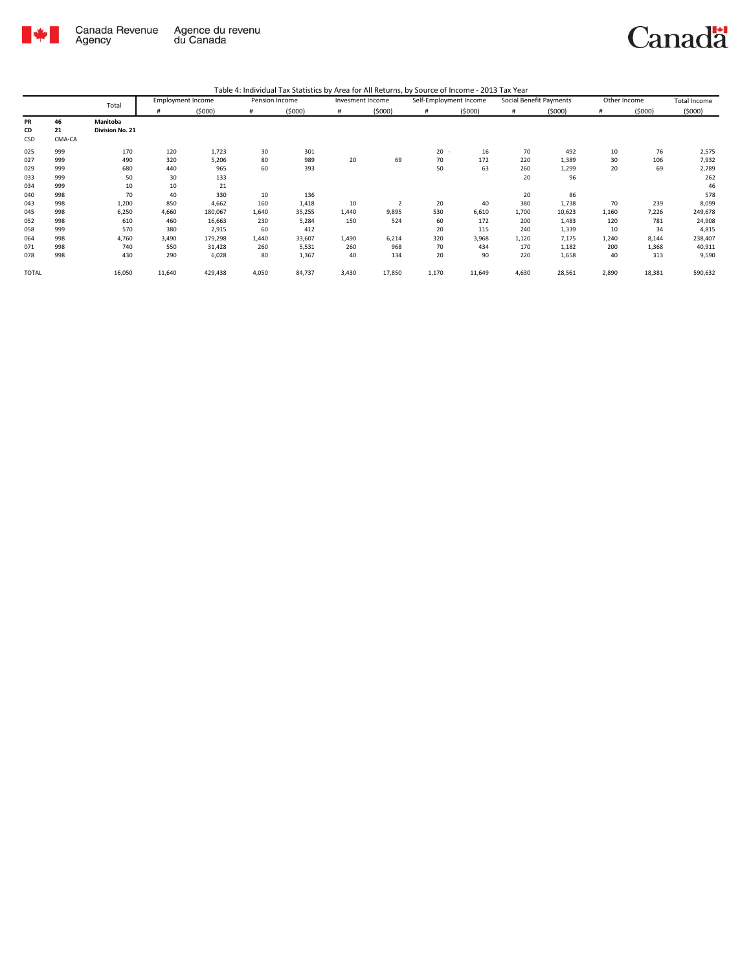

|              |        |                 | <b>Employment Income</b> |         | Pension Income |        | Invesment Income |                | Self-Employment Income |        | Social Benefit Payments |        |       | Other Income | Total Income |
|--------------|--------|-----------------|--------------------------|---------|----------------|--------|------------------|----------------|------------------------|--------|-------------------------|--------|-------|--------------|--------------|
|              |        | Total           | #                        | (5000)  | #              | (5000) | #                | (5000)         | #                      | (5000) | #                       | (5000) | #     | (5000)       | (5000)       |
| <b>PR</b>    | 46     | Manitoba        |                          |         |                |        |                  |                |                        |        |                         |        |       |              |              |
| CD           | 21     | Division No. 21 |                          |         |                |        |                  |                |                        |        |                         |        |       |              |              |
| CSD          | CMA-CA |                 |                          |         |                |        |                  |                |                        |        |                         |        |       |              |              |
| 025          | 999    | 170             | 120                      | 1,723   | 30             | 301    |                  |                | $20 -$                 | 16     | 70                      | 492    | 10    | 76           | 2,575        |
| 027          | 999    | 490             | 320                      | 5,206   | 80             | 989    | 20               | 69             | 70                     | 172    | 220                     | 1,389  | 30    | 106          | 7,932        |
| 029          | 999    | 680             | 440                      | 965     | 60             | 393    |                  |                | 50                     | 63     | 260                     | 1,299  | 20    | 69           | 2,789        |
| 033          | 999    | 50              | 30                       | 133     |                |        |                  |                |                        |        | 20                      | 96     |       |              | 262          |
| 034          | 999    | 10              | 10                       | 21      |                |        |                  |                |                        |        |                         |        |       |              | 46           |
| 040          | 998    | 70              | 40                       | 330     | 10             | 136    |                  |                |                        |        | 20                      | 86     |       |              | 578          |
| 043          | 998    | 1,200           | 850                      | 4,662   | 160            | 1,418  | 10               | $\overline{2}$ | 20                     | 40     | 380                     | 1,738  | 70    | 239          | 8,099        |
| 045          | 998    | 6,250           | 4,660                    | 180,067 | 1,640          | 35,255 | 1,440            | 9,895          | 530                    | 6,610  | 1,700                   | 10,623 | 1,160 | 7,226        | 249,678      |
| 052          | 998    | 610             | 460                      | 16,663  | 230            | 5,284  | 150              | 524            | 60                     | 172    | 200                     | 1,483  | 120   | 781          | 24,908       |
| 058          | 999    | 570             | 380                      | 2,915   | 60             | 412    |                  |                | 20                     | 115    | 240                     | 1,339  | 10    | 34           | 4,815        |
| 064          | 998    | 4,760           | 3,490                    | 179,298 | 1,440          | 33,607 | 1,490            | 6,214          | 320                    | 3,968  | 1,120                   | 7,175  | 1,240 | 8,144        | 238,407      |
| 071          | 998    | 740             | 550                      | 31,428  | 260            | 5,531  | 260              | 968            | 70                     | 434    | 170                     | 1,182  | 200   | 1,368        | 40,911       |
| 078          | 998    | 430             | 290                      | 6,028   | 80             | 1,367  | 40               | 134            | 20                     | 90     | 220                     | 1,658  | 40    | 313          | 9,590        |
| <b>TOTAL</b> |        | 16,050          | 11,640                   | 429,438 | 4,050          | 84,737 | 3,430            | 17,850         | 1,170                  | 11,649 | 4,630                   | 28,561 | 2,890 | 18,381       | 590,632      |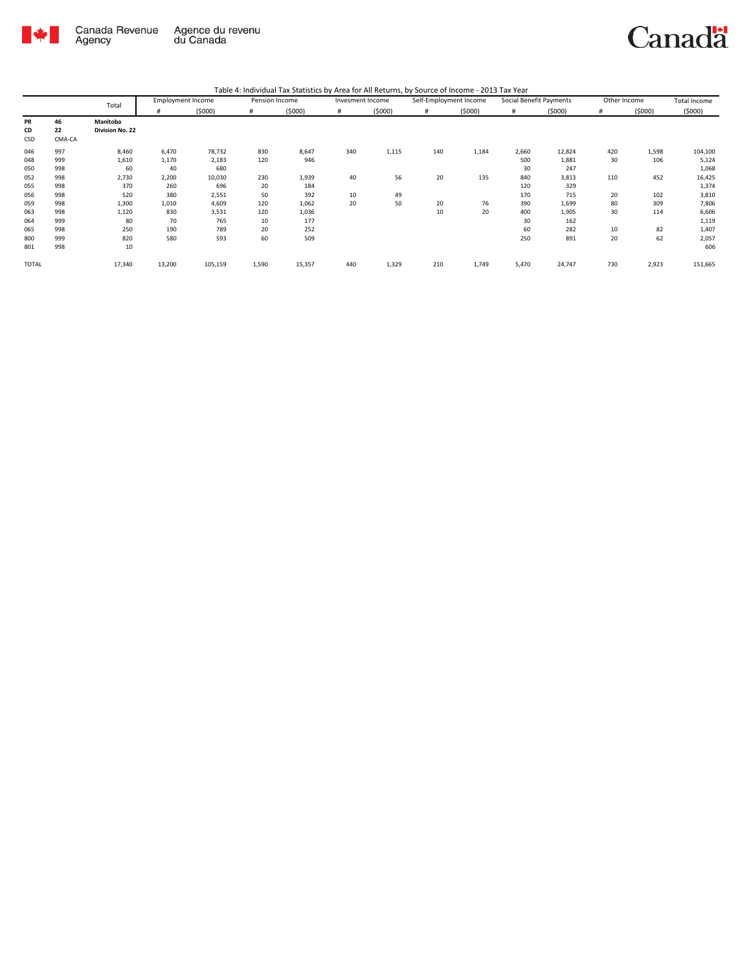

| Table 4: Individual Tax Statistics by Area for All Returns, by Source of Income - 2013 Tax Year |  |  |
|-------------------------------------------------------------------------------------------------|--|--|
|                                                                                                 |  |  |

|              |        | Total           | <b>Employment Income</b> |         | Pension Income |        | Invesment Income |        | Self-Employment Income |        | Social Benefit Payments |        | Other Income |        | Total Income |
|--------------|--------|-----------------|--------------------------|---------|----------------|--------|------------------|--------|------------------------|--------|-------------------------|--------|--------------|--------|--------------|
|              |        |                 | #                        | (5000)  | #              | (5000) | #                | (5000) | #                      | (5000) | #                       | (5000) | #            | (5000) | (5000)       |
| PR           | 46     | Manitoba        |                          |         |                |        |                  |        |                        |        |                         |        |              |        |              |
| CD           | 22     | Division No. 22 |                          |         |                |        |                  |        |                        |        |                         |        |              |        |              |
| CSD          | CMA-CA |                 |                          |         |                |        |                  |        |                        |        |                         |        |              |        |              |
| 046          | 997    | 8,460           | 6,470                    | 78,732  | 830            | 8,647  | 340              | 1,115  | 140                    | 1,184  | 2,660                   | 12,824 | 420          | 1,598  | 104,100      |
| 048          | 999    | 1,610           | 1,170                    | 2,183   | 120            | 946    |                  |        |                        |        | 500                     | 1,881  | 30           | 106    | 5,124        |
| 050          | 998    | 60              | 40                       | 680     |                |        |                  |        |                        |        | 30                      | 247    |              |        | 1,068        |
| 052          | 998    | 2,730           | 2,200                    | 10,030  | 230            | 1,939  | 40               | 56     | 20                     | 135    | 840                     | 3,813  | 110          | 452    | 16,425       |
| 055          | 998    | 370             | 260                      | 696     | 20             | 184    |                  |        |                        |        | 120                     | 329    |              |        | 1,374        |
| 056          | 998    | 520             | 380                      | 2,551   | 50             | 392    | 10               | 49     |                        |        | 170                     | 715    | 20           | 102    | 3,810        |
| 059          | 998    | 1,300           | 1,010                    | 4,609   | 120            | 1,062  | 20               | 50     | 20                     | 76     | 390                     | 1,699  | 80           | 309    | 7,806        |
| 063          | 998    | 1,120           | 830                      | 3,531   | 120            | 1,036  |                  |        | 10                     | 20     | 400                     | 1,905  | 30           | 114    | 6,606        |
| 064          | 999    | 80              | 70                       | 765     | 10             | 177    |                  |        |                        |        | 30                      | 162    |              |        | 1,119        |
| 065          | 998    | 250             | 190                      | 789     | 20             | 252    |                  |        |                        |        | 60                      | 282    | 10           | 82     | 1,407        |
| 800          | 999    | 820             | 580                      | 593     | 60             | 509    |                  |        |                        |        | 250                     | 891    | 20           | 62     | 2,057        |
| 801          | 998    | 10              |                          |         |                |        |                  |        |                        |        |                         |        |              |        | 606          |
| <b>TOTAL</b> |        | 17,340          | 13,200                   | 105,159 | 1,590          | 15,357 | 440              | 1,329  | 210                    | 1,749  | 5,470                   | 24,747 | 730          | 2,923  | 151,665      |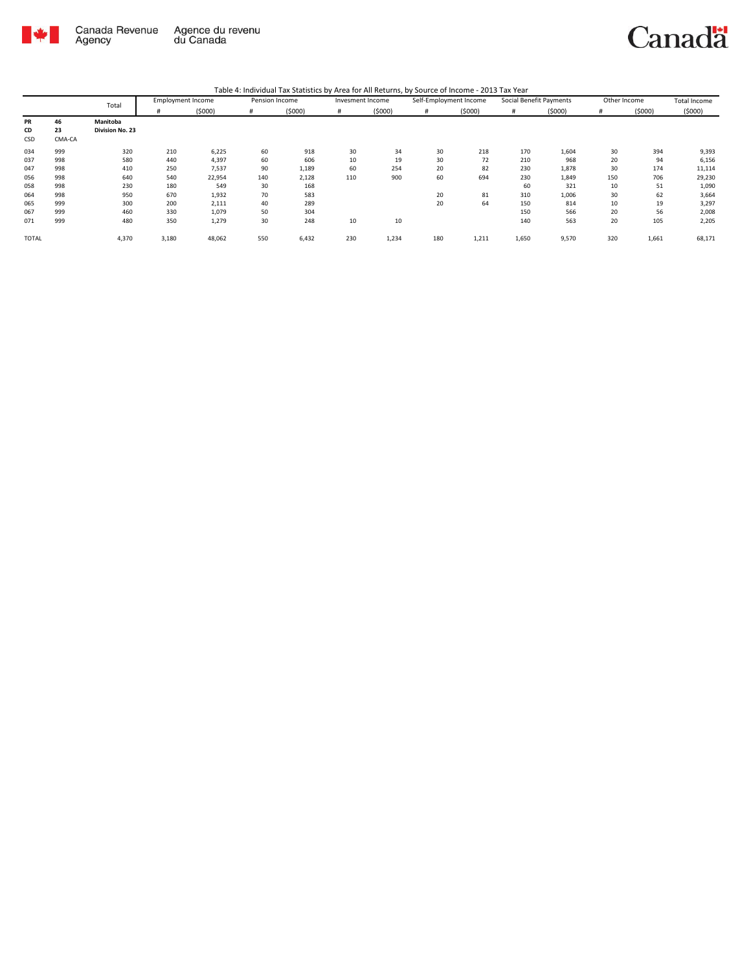

|              |        | Total           | <b>Employment Income</b> |        | Pension Income |        | Invesment Income |        | Self-Employment Income |        | Social Benefit Payments |        | Other Income |        | Total Income |
|--------------|--------|-----------------|--------------------------|--------|----------------|--------|------------------|--------|------------------------|--------|-------------------------|--------|--------------|--------|--------------|
|              |        |                 | #                        | (5000) | #              | (5000) | #                | (5000) | #                      | (5000) | #                       | (5000) | #            | (5000) | (5000)       |
| PR           | 46     | Manitoba        |                          |        |                |        |                  |        |                        |        |                         |        |              |        |              |
| CD           | 23     | Division No. 23 |                          |        |                |        |                  |        |                        |        |                         |        |              |        |              |
| CSD          | CMA-CA |                 |                          |        |                |        |                  |        |                        |        |                         |        |              |        |              |
| 034          | 999    | 320             | 210                      | 6,225  | 60             | 918    | 30               | 34     | 30                     | 218    | 170                     | 1,604  | 30           | 394    | 9,393        |
| 037          | 998    | 580             | 440                      | 4,397  | 60             | 606    | 10               | 19     | 30                     | 72     | 210                     | 968    | 20           | 94     | 6,156        |
| 047          | 998    | 410             | 250                      | 7,537  | 90             | 1,189  | 60               | 254    | 20                     | 82     | 230                     | 1,878  | 30           | 174    | 11,114       |
| 056          | 998    | 640             | 540                      | 22,954 | 140            | 2,128  | 110              | 900    | 60                     | 694    | 230                     | 1,849  | 150          | 706    | 29,230       |
| 058          | 998    | 230             | 180                      | 549    | 30             | 168    |                  |        |                        |        | 60                      | 321    | 10           | 51     | 1,090        |
| 064          | 998    | 950             | 670                      | 1,932  | 70             | 583    |                  |        | 20                     | 81     | 310                     | 1,006  | 30           | 62     | 3,664        |
| 065          | 999    | 300             | 200                      | 2,111  | 40             | 289    |                  |        | 20                     | 64     | 150                     | 814    | 10           | 19     | 3,297        |
| 067          | 999    | 460             | 330                      | 1,079  | 50             | 304    |                  |        |                        |        | 150                     | 566    | 20           | 56     | 2,008        |
| 071          | 999    | 480             | 350                      | 1,279  | 30             | 248    | 10               | 10     |                        |        | 140                     | 563    | 20           | 105    | 2,205        |
| <b>TOTAL</b> |        | 4,370           | 3,180                    | 48,062 | 550            | 6,432  | 230              | 1,234  | 180                    | 1,211  | 1,650                   | 9,570  | 320          | 1,661  | 68,171       |